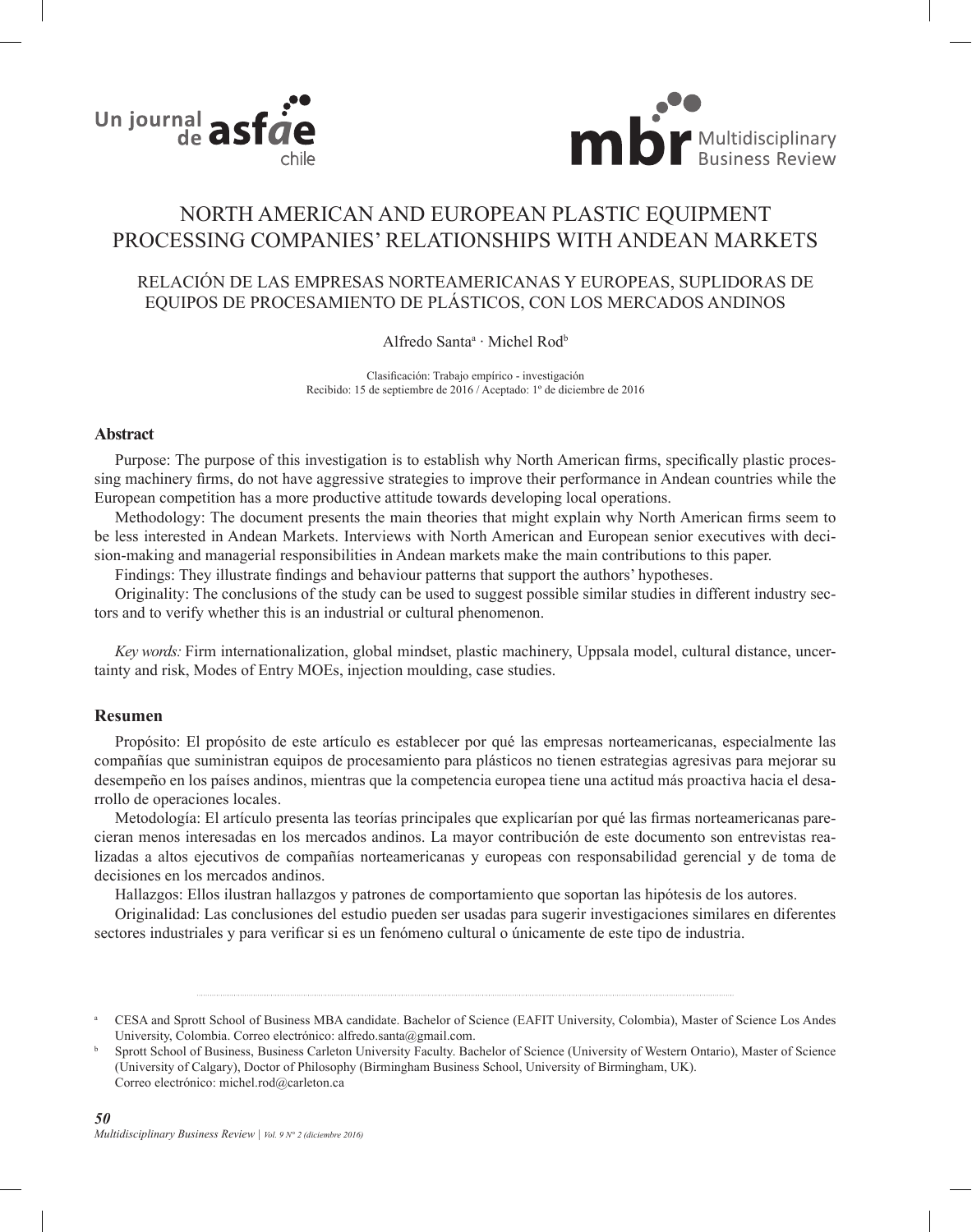



# NORTH AMERICAN AND EUROPEAN PLASTIC EQUIPMENT PROCESSING COMPANIES' RELATIONSHIPS WITH ANDEAN MARKETS

## RELACIÓN DE LAS EMPRESAS NORTEAMERICANAS Y EUROPEAS, SUPLIDORAS DE EQUIPOS DE PROCESAMIENTO DE PLÁSTICOS, CON LOS MERCADOS ANDINOS

## Alfredo Santa<sup>a</sup> · Michel Rod<sup>b</sup>

Clasificación: Trabajo empírico - investigación Recibido: 15 de septiembre de 2016 / Aceptado: 1º de diciembre de 2016

#### **Abstract**

Purpose: The purpose of this investigation is to establish why North American firms, specifically plastic processing machinery firms, do not have aggressive strategies to improve their performance in Andean countries while the European competition has a more productive attitude towards developing local operations.

Methodology: The document presents the main theories that might explain why North American firms seem to be less interested in Andean Markets. Interviews with North American and European senior executives with decision-making and managerial responsibilities in Andean markets make the main contributions to this paper.

Findings: They illustrate findings and behaviour patterns that support the authors' hypotheses.

Originality: The conclusions of the study can be used to suggest possible similar studies in different industry sectors and to verify whether this is an industrial or cultural phenomenon.

*Key words:* Firm internationalization, global mindset, plastic machinery, Uppsala model, cultural distance, uncertainty and risk, Modes of Entry MOEs, injection moulding, case studies.

## **Resumen**

Propósito: El propósito de este artículo es establecer por qué las empresas norteamericanas, especialmente las compañías que suministran equipos de procesamiento para plásticos no tienen estrategias agresivas para mejorar su desempeño en los países andinos, mientras que la competencia europea tiene una actitud más proactiva hacia el desarrollo de operaciones locales.

Metodología: El artículo presenta las teorías principales que explicarían por qué las firmas norteamericanas parecieran menos interesadas en los mercados andinos. La mayor contribución de este documento son entrevistas realizadas a altos ejecutivos de compañías norteamericanas y europeas con responsabilidad gerencial y de toma de decisiones en los mercados andinos.

Hallazgos: Ellos ilustran hallazgos y patrones de comportamiento que soportan las hipótesis de los autores.

Originalidad: Las conclusiones del estudio pueden ser usadas para sugerir investigaciones similares en diferentes sectores industriales y para verificar si es un fenómeno cultural o únicamente de este tipo de industria.

<sup>a</sup> CESA and Sprott School of Business MBA candidate. Bachelor of Science (EAFIT University, Colombia), Master of Science Los Andes University, Colombia. Correo electrónico: alfredo.santa@gmail.com.

<sup>b</sup> Sprott School of Business, Business Carleton University Faculty. Bachelor of Science (University of Western Ontario), Master of Science (University of Calgary), Doctor of Philosophy (Birmingham Business School, University of Birmingham, UK). Correo electrónico: michel.rod@carleton.ca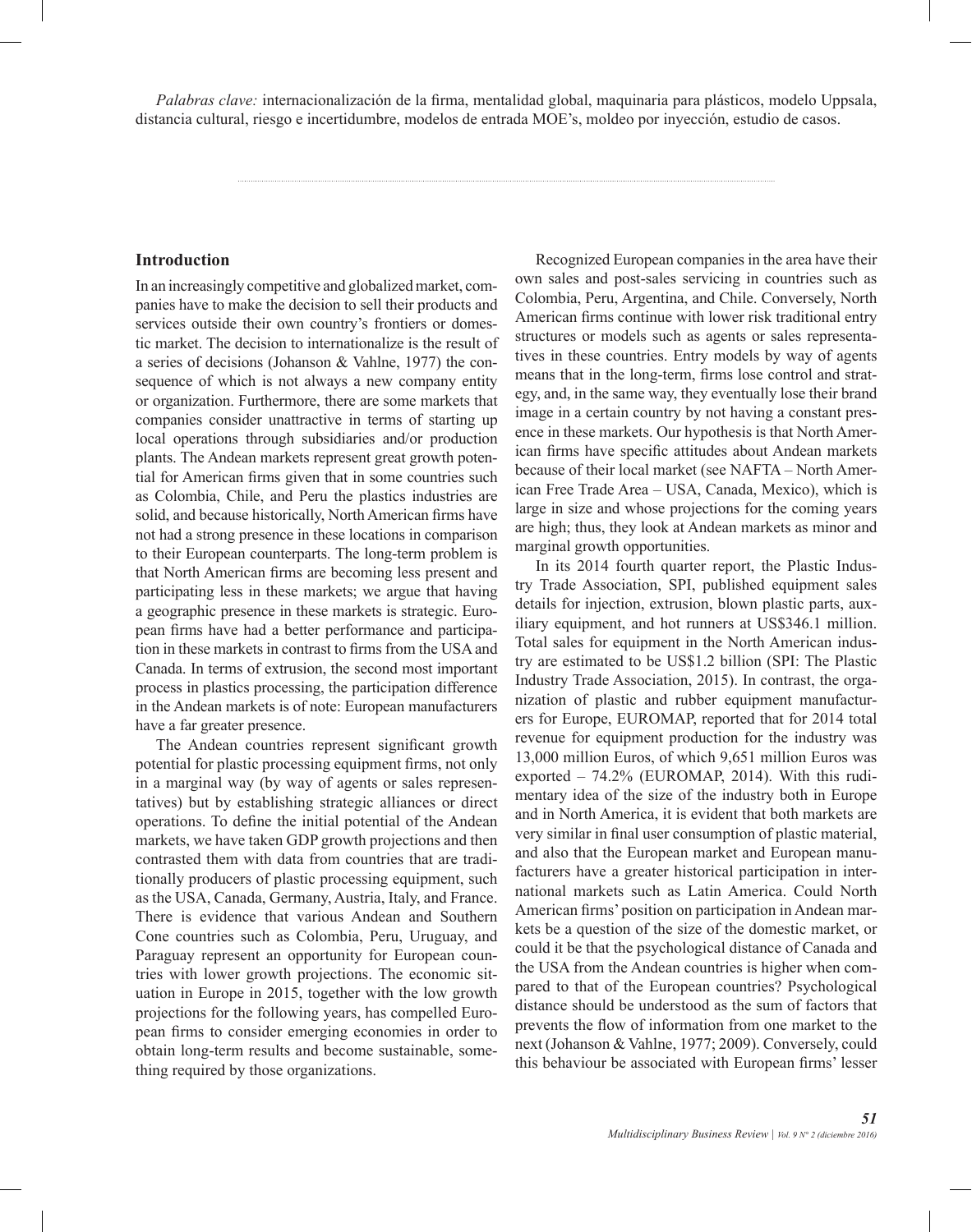*Palabras clave:* internacionalización de la firma, mentalidad global, maquinaria para plásticos, modelo Uppsala, distancia cultural, riesgo e incertidumbre, modelos de entrada MOE's, moldeo por inyección, estudio de casos.

#### **Introduction**

In an increasingly competitive and globalized market, companies have to make the decision to sell their products and services outside their own country's frontiers or domestic market. The decision to internationalize is the result of a series of decisions (Johanson & Vahlne, 1977) the consequence of which is not always a new company entity or organization. Furthermore, there are some markets that companies consider unattractive in terms of starting up local operations through subsidiaries and/or production plants. The Andean markets represent great growth potential for American firms given that in some countries such as Colombia, Chile, and Peru the plastics industries are solid, and because historically, North American firms have not had a strong presence in these locations in comparison to their European counterparts. The long-term problem is that North American firms are becoming less present and participating less in these markets; we argue that having a geographic presence in these markets is strategic. European firms have had a better performance and participation in these markets in contrast to firms from the USA and Canada. In terms of extrusion, the second most important process in plastics processing, the participation difference in the Andean markets is of note: European manufacturers have a far greater presence.

The Andean countries represent significant growth potential for plastic processing equipment firms, not only in a marginal way (by way of agents or sales representatives) but by establishing strategic alliances or direct operations. To define the initial potential of the Andean markets, we have taken GDP growth projections and then contrasted them with data from countries that are traditionally producers of plastic processing equipment, such as the USA, Canada, Germany, Austria, Italy, and France. There is evidence that various Andean and Southern Cone countries such as Colombia, Peru, Uruguay, and Paraguay represent an opportunity for European countries with lower growth projections. The economic situation in Europe in 2015, together with the low growth projections for the following years, has compelled European firms to consider emerging economies in order to obtain long-term results and become sustainable, something required by those organizations.

Recognized European companies in the area have their own sales and post-sales servicing in countries such as Colombia, Peru, Argentina, and Chile. Conversely, North American firms continue with lower risk traditional entry structures or models such as agents or sales representatives in these countries. Entry models by way of agents means that in the long-term, firms lose control and strategy, and, in the same way, they eventually lose their brand image in a certain country by not having a constant presence in these markets. Our hypothesis is that North American firms have specific attitudes about Andean markets because of their local market (see NAFTA – North American Free Trade Area – USA, Canada, Mexico), which is large in size and whose projections for the coming years are high; thus, they look at Andean markets as minor and marginal growth opportunities.

In its 2014 fourth quarter report, the Plastic Industry Trade Association, SPI, published equipment sales details for injection, extrusion, blown plastic parts, auxiliary equipment, and hot runners at US\$346.1 million. Total sales for equipment in the North American industry are estimated to be US\$1.2 billion (SPI: The Plastic Industry Trade Association, 2015). In contrast, the organization of plastic and rubber equipment manufacturers for Europe, EUROMAP, reported that for 2014 total revenue for equipment production for the industry was 13,000 million Euros, of which 9,651 million Euros was exported – 74.2% (EUROMAP, 2014). With this rudimentary idea of the size of the industry both in Europe and in North America, it is evident that both markets are very similar in final user consumption of plastic material, and also that the European market and European manufacturers have a greater historical participation in international markets such as Latin America. Could North American firms' position on participation in Andean markets be a question of the size of the domestic market, or could it be that the psychological distance of Canada and the USA from the Andean countries is higher when compared to that of the European countries? Psychological distance should be understood as the sum of factors that prevents the flow of information from one market to the next (Johanson & Vahlne, 1977; 2009). Conversely, could this behaviour be associated with European firms' lesser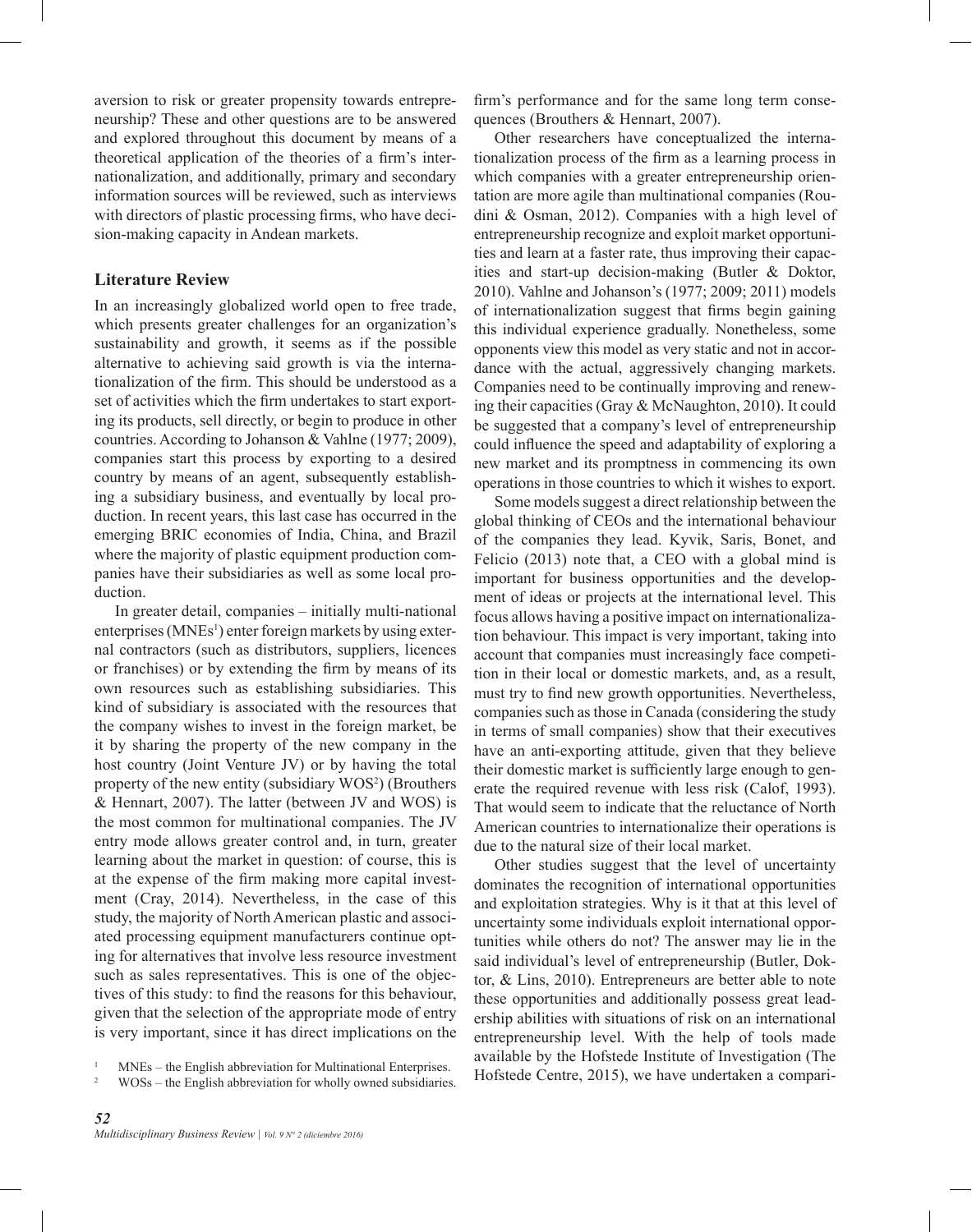aversion to risk or greater propensity towards entrepreneurship? These and other questions are to be answered and explored throughout this document by means of a theoretical application of the theories of a firm's internationalization, and additionally, primary and secondary information sources will be reviewed, such as interviews with directors of plastic processing firms, who have decision-making capacity in Andean markets.

#### **Literature Review**

In an increasingly globalized world open to free trade, which presents greater challenges for an organization's sustainability and growth, it seems as if the possible alternative to achieving said growth is via the internationalization of the firm. This should be understood as a set of activities which the firm undertakes to start exporting its products, sell directly, or begin to produce in other countries. According to Johanson & Vahlne (1977; 2009), companies start this process by exporting to a desired country by means of an agent, subsequently establishing a subsidiary business, and eventually by local production. In recent years, this last case has occurred in the emerging BRIC economies of India, China, and Brazil where the majority of plastic equipment production companies have their subsidiaries as well as some local production.

In greater detail, companies – initially multi-national enterprises (MNEs<sup>1</sup>) enter foreign markets by using external contractors (such as distributors, suppliers, licences or franchises) or by extending the firm by means of its own resources such as establishing subsidiaries. This kind of subsidiary is associated with the resources that the company wishes to invest in the foreign market, be it by sharing the property of the new company in the host country (Joint Venture JV) or by having the total property of the new entity (subsidiary WOS<sup>2</sup>) (Brouthers & Hennart, 2007). The latter (between JV and WOS) is the most common for multinational companies. The JV entry mode allows greater control and, in turn, greater learning about the market in question: of course, this is at the expense of the firm making more capital investment (Cray, 2014). Nevertheless, in the case of this study, the majority of North American plastic and associated processing equipment manufacturers continue opting for alternatives that involve less resource investment such as sales representatives. This is one of the objectives of this study: to find the reasons for this behaviour, given that the selection of the appropriate mode of entry is very important, since it has direct implications on the

<sup>2</sup> WOSs – the English abbreviation for wholly owned subsidiaries.

firm's performance and for the same long term consequences (Brouthers & Hennart, 2007).

Other researchers have conceptualized the internationalization process of the firm as a learning process in which companies with a greater entrepreneurship orientation are more agile than multinational companies (Roudini & Osman, 2012). Companies with a high level of entrepreneurship recognize and exploit market opportunities and learn at a faster rate, thus improving their capacities and start-up decision-making (Butler & Doktor, 2010). Vahlne and Johanson's (1977; 2009; 2011) models of internationalization suggest that firms begin gaining this individual experience gradually. Nonetheless, some opponents view this model as very static and not in accordance with the actual, aggressively changing markets. Companies need to be continually improving and renewing their capacities (Gray & McNaughton, 2010). It could be suggested that a company's level of entrepreneurship could influence the speed and adaptability of exploring a new market and its promptness in commencing its own operations in those countries to which it wishes to export.

Some models suggest a direct relationship between the global thinking of CEOs and the international behaviour of the companies they lead. Kyvik, Saris, Bonet, and Felicio (2013) note that, a CEO with a global mind is important for business opportunities and the development of ideas or projects at the international level. This focus allows having a positive impact on internationalization behaviour. This impact is very important, taking into account that companies must increasingly face competition in their local or domestic markets, and, as a result, must try to find new growth opportunities. Nevertheless, companies such as those in Canada (considering the study in terms of small companies) show that their executives have an anti-exporting attitude, given that they believe their domestic market is sufficiently large enough to generate the required revenue with less risk (Calof, 1993). That would seem to indicate that the reluctance of North American countries to internationalize their operations is due to the natural size of their local market.

Other studies suggest that the level of uncertainty dominates the recognition of international opportunities and exploitation strategies. Why is it that at this level of uncertainty some individuals exploit international opportunities while others do not? The answer may lie in the said individual's level of entrepreneurship (Butler, Doktor, & Lins, 2010). Entrepreneurs are better able to note these opportunities and additionally possess great leadership abilities with situations of risk on an international entrepreneurship level. With the help of tools made available by the Hofstede Institute of Investigation (The Hofstede Centre, 2015), we have undertaken a compari-

<sup>1</sup> MNEs – the English abbreviation for Multinational Enterprises.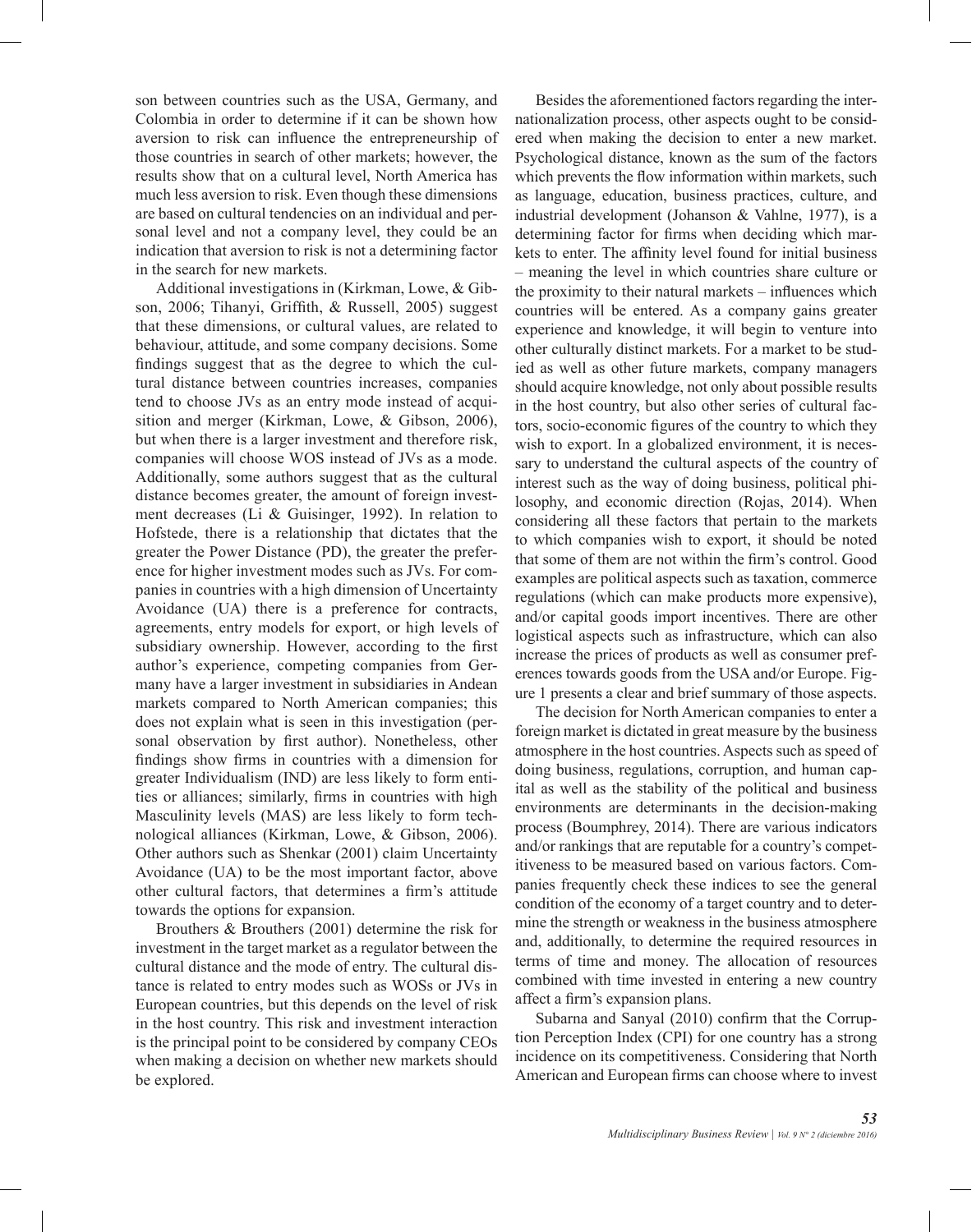son between countries such as the USA, Germany, and Colombia in order to determine if it can be shown how aversion to risk can influence the entrepreneurship of those countries in search of other markets; however, the results show that on a cultural level, North America has much less aversion to risk. Even though these dimensions are based on cultural tendencies on an individual and personal level and not a company level, they could be an indication that aversion to risk is not a determining factor in the search for new markets.

Additional investigations in (Kirkman, Lowe, & Gibson, 2006; Tihanyi, Griffith, & Russell, 2005) suggest that these dimensions, or cultural values, are related to behaviour, attitude, and some company decisions. Some findings suggest that as the degree to which the cultural distance between countries increases, companies tend to choose JVs as an entry mode instead of acquisition and merger (Kirkman, Lowe, & Gibson, 2006), but when there is a larger investment and therefore risk, companies will choose WOS instead of JVs as a mode. Additionally, some authors suggest that as the cultural distance becomes greater, the amount of foreign investment decreases (Li & Guisinger, 1992). In relation to Hofstede, there is a relationship that dictates that the greater the Power Distance (PD), the greater the preference for higher investment modes such as JVs. For companies in countries with a high dimension of Uncertainty Avoidance (UA) there is a preference for contracts, agreements, entry models for export, or high levels of subsidiary ownership. However, according to the first author's experience, competing companies from Germany have a larger investment in subsidiaries in Andean markets compared to North American companies; this does not explain what is seen in this investigation (personal observation by first author). Nonetheless, other findings show firms in countries with a dimension for greater Individualism (IND) are less likely to form entities or alliances; similarly, firms in countries with high Masculinity levels (MAS) are less likely to form technological alliances (Kirkman, Lowe, & Gibson, 2006). Other authors such as Shenkar (2001) claim Uncertainty Avoidance (UA) to be the most important factor, above other cultural factors, that determines a firm's attitude towards the options for expansion.

Brouthers & Brouthers (2001) determine the risk for investment in the target market as a regulator between the cultural distance and the mode of entry. The cultural distance is related to entry modes such as WOSs or JVs in European countries, but this depends on the level of risk in the host country. This risk and investment interaction is the principal point to be considered by company CEOs when making a decision on whether new markets should be explored.

Besides the aforementioned factors regarding the internationalization process, other aspects ought to be considered when making the decision to enter a new market. Psychological distance, known as the sum of the factors which prevents the flow information within markets, such as language, education, business practices, culture, and industrial development (Johanson & Vahlne, 1977), is a determining factor for firms when deciding which markets to enter. The affinity level found for initial business – meaning the level in which countries share culture or the proximity to their natural markets – influences which countries will be entered. As a company gains greater experience and knowledge, it will begin to venture into other culturally distinct markets. For a market to be studied as well as other future markets, company managers should acquire knowledge, not only about possible results in the host country, but also other series of cultural factors, socio-economic figures of the country to which they wish to export. In a globalized environment, it is necessary to understand the cultural aspects of the country of interest such as the way of doing business, political philosophy, and economic direction (Rojas, 2014). When considering all these factors that pertain to the markets to which companies wish to export, it should be noted that some of them are not within the firm's control. Good examples are political aspects such as taxation, commerce regulations (which can make products more expensive), and/or capital goods import incentives. There are other logistical aspects such as infrastructure, which can also increase the prices of products as well as consumer preferences towards goods from the USA and/or Europe. Figure 1 presents a clear and brief summary of those aspects.

The decision for North American companies to enter a foreign market is dictated in great measure by the business atmosphere in the host countries. Aspects such as speed of doing business, regulations, corruption, and human capital as well as the stability of the political and business environments are determinants in the decision-making process (Boumphrey, 2014). There are various indicators and/or rankings that are reputable for a country's competitiveness to be measured based on various factors. Companies frequently check these indices to see the general condition of the economy of a target country and to determine the strength or weakness in the business atmosphere and, additionally, to determine the required resources in terms of time and money. The allocation of resources combined with time invested in entering a new country affect a firm's expansion plans.

Subarna and Sanyal (2010) confirm that the Corruption Perception Index (CPI) for one country has a strong incidence on its competitiveness. Considering that North American and European firms can choose where to invest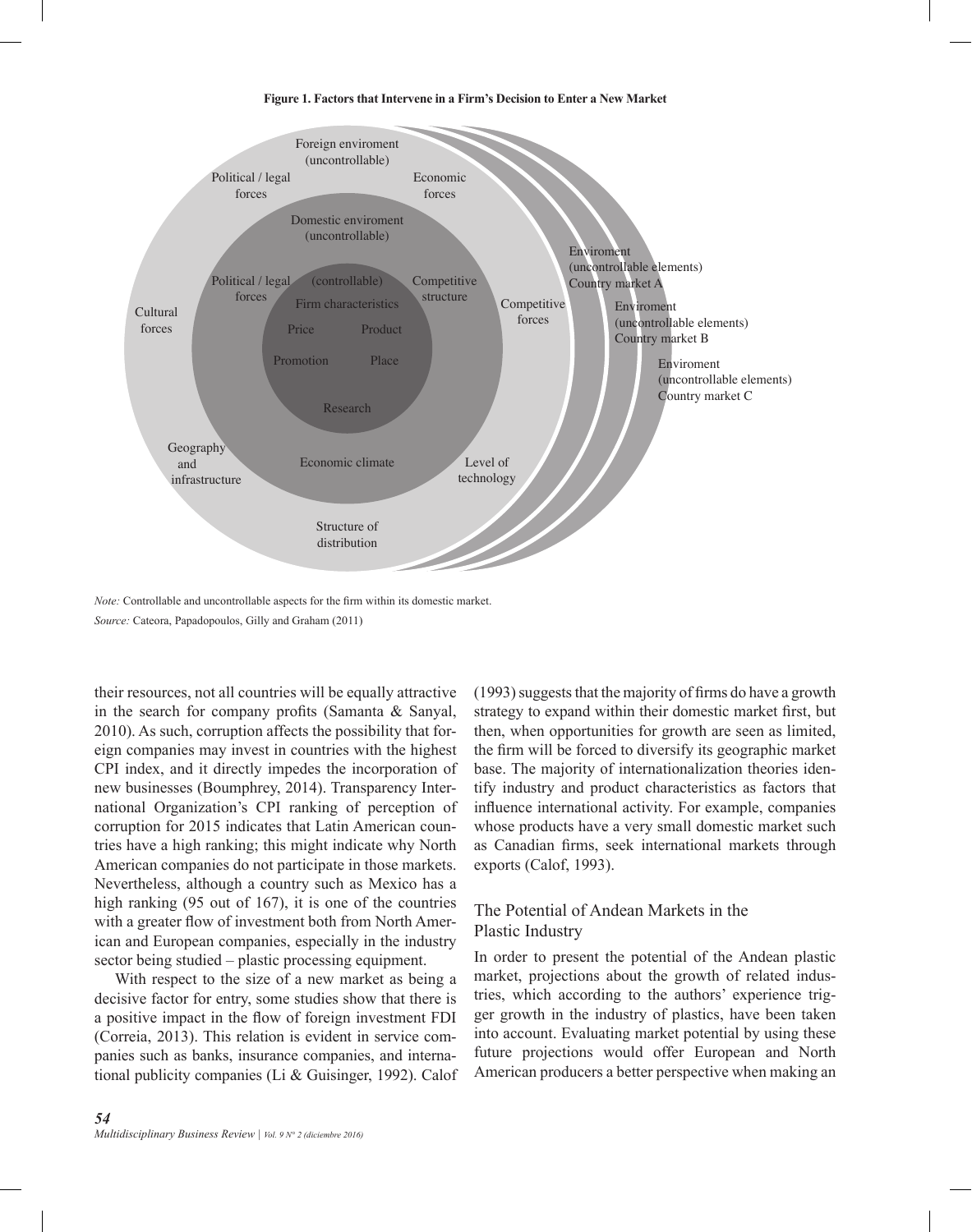#### **Figure 1. Factors that Intervene in a Firm's Decision to Enter a New Market**



*Note:* Controllable and uncontrollable aspects for the firm within its domestic market. *Source:* Cateora, Papadopoulos, Gilly and Graham (2011)

their resources, not all countries will be equally attractive in the search for company profits (Samanta & Sanyal, 2010). As such, corruption affects the possibility that foreign companies may invest in countries with the highest CPI index, and it directly impedes the incorporation of new businesses (Boumphrey, 2014). Transparency International Organization's CPI ranking of perception of corruption for 2015 indicates that Latin American countries have a high ranking; this might indicate why North American companies do not participate in those markets. Nevertheless, although a country such as Mexico has a high ranking (95 out of 167), it is one of the countries with a greater flow of investment both from North American and European companies, especially in the industry sector being studied – plastic processing equipment.

With respect to the size of a new market as being a decisive factor for entry, some studies show that there is a positive impact in the flow of foreign investment FDI (Correia, 2013). This relation is evident in service companies such as banks, insurance companies, and international publicity companies (Li & Guisinger, 1992). Calof

*54 Multidisciplinary Business Review | Vol. 9 N° 2 (diciembre 2016)* (1993) suggests that the majority of firms do have a growth strategy to expand within their domestic market first, but then, when opportunities for growth are seen as limited, the firm will be forced to diversify its geographic market base. The majority of internationalization theories identify industry and product characteristics as factors that influence international activity. For example, companies whose products have a very small domestic market such as Canadian firms, seek international markets through exports (Calof, 1993).

## The Potential of Andean Markets in the Plastic Industry

In order to present the potential of the Andean plastic market, projections about the growth of related industries, which according to the authors' experience trigger growth in the industry of plastics, have been taken into account. Evaluating market potential by using these future projections would offer European and North American producers a better perspective when making an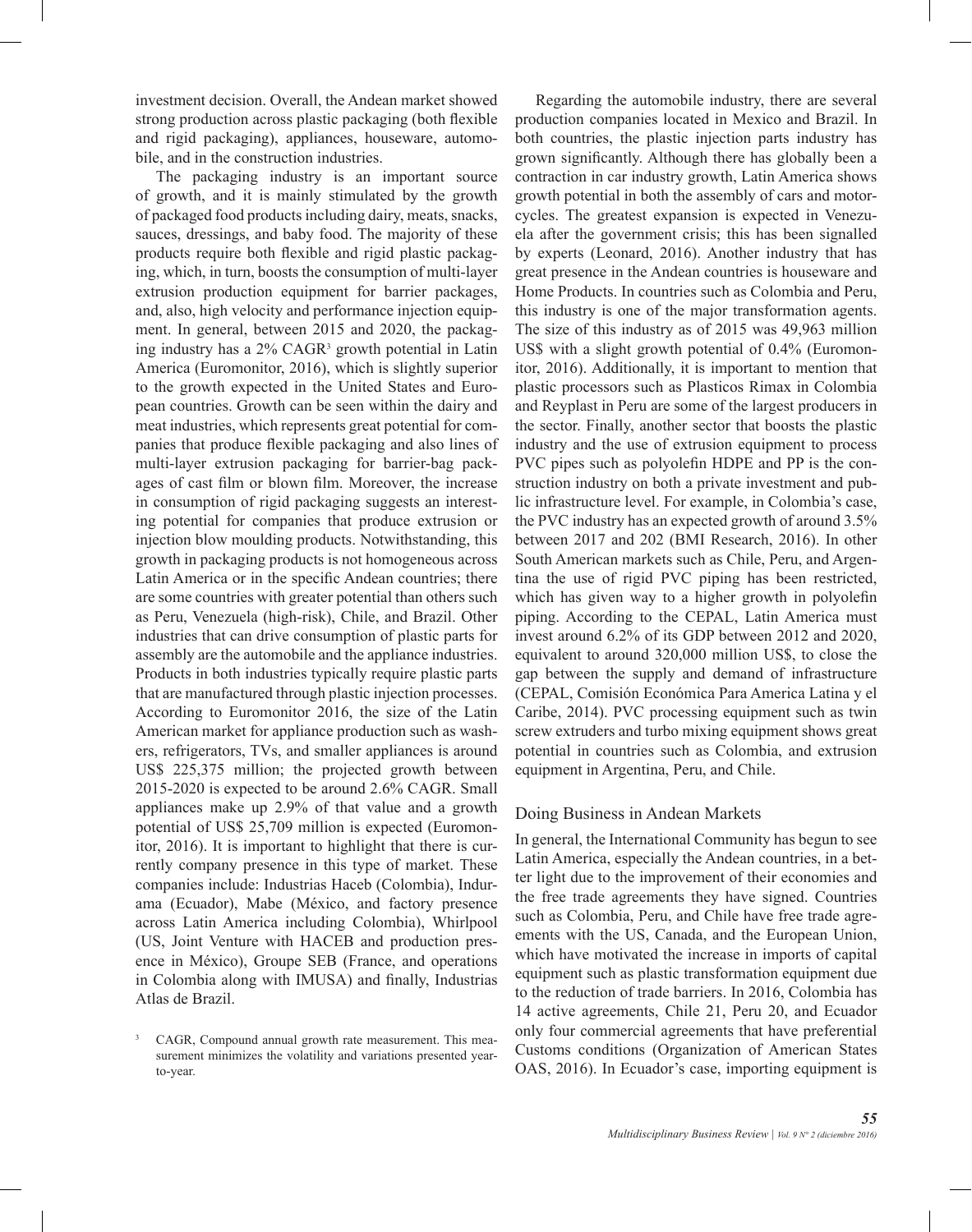investment decision. Overall, the Andean market showed strong production across plastic packaging (both flexible and rigid packaging), appliances, houseware, automobile, and in the construction industries.

The packaging industry is an important source of growth, and it is mainly stimulated by the growth of packaged food products including dairy, meats, snacks, sauces, dressings, and baby food. The majority of these products require both flexible and rigid plastic packaging, which, in turn, boosts the consumption of multi-layer extrusion production equipment for barrier packages, and, also, high velocity and performance injection equipment. In general, between 2015 and 2020, the packaging industry has a 2% CAGR<sup>3</sup> growth potential in Latin America (Euromonitor, 2016), which is slightly superior to the growth expected in the United States and European countries. Growth can be seen within the dairy and meat industries, which represents great potential for companies that produce flexible packaging and also lines of multi-layer extrusion packaging for barrier-bag packages of cast film or blown film. Moreover, the increase in consumption of rigid packaging suggests an interesting potential for companies that produce extrusion or injection blow moulding products. Notwithstanding, this growth in packaging products is not homogeneous across Latin America or in the specific Andean countries; there are some countries with greater potential than others such as Peru, Venezuela (high-risk), Chile, and Brazil. Other industries that can drive consumption of plastic parts for assembly are the automobile and the appliance industries. Products in both industries typically require plastic parts that are manufactured through plastic injection processes. According to Euromonitor 2016, the size of the Latin American market for appliance production such as washers, refrigerators, TVs, and smaller appliances is around US\$ 225,375 million; the projected growth between 2015-2020 is expected to be around 2.6% CAGR. Small appliances make up 2.9% of that value and a growth potential of US\$ 25,709 million is expected (Euromonitor, 2016). It is important to highlight that there is currently company presence in this type of market. These companies include: Industrias Haceb (Colombia), Indurama (Ecuador), Mabe (México, and factory presence across Latin America including Colombia), Whirlpool (US, Joint Venture with HACEB and production presence in México), Groupe SEB (France, and operations in Colombia along with IMUSA) and finally, Industrias Atlas de Brazil.

Regarding the automobile industry, there are several production companies located in Mexico and Brazil. In both countries, the plastic injection parts industry has grown significantly. Although there has globally been a contraction in car industry growth, Latin America shows growth potential in both the assembly of cars and motorcycles. The greatest expansion is expected in Venezuela after the government crisis; this has been signalled by experts (Leonard, 2016). Another industry that has great presence in the Andean countries is houseware and Home Products. In countries such as Colombia and Peru, this industry is one of the major transformation agents. The size of this industry as of 2015 was 49,963 million US\$ with a slight growth potential of 0.4% (Euromonitor, 2016). Additionally, it is important to mention that plastic processors such as Plasticos Rimax in Colombia and Reyplast in Peru are some of the largest producers in the sector. Finally, another sector that boosts the plastic industry and the use of extrusion equipment to process PVC pipes such as polyolefin HDPE and PP is the construction industry on both a private investment and public infrastructure level. For example, in Colombia's case, the PVC industry has an expected growth of around 3.5% between 2017 and 202 (BMI Research, 2016). In other South American markets such as Chile, Peru, and Argentina the use of rigid PVC piping has been restricted, which has given way to a higher growth in polyolefin piping. According to the CEPAL, Latin America must invest around 6.2% of its GDP between 2012 and 2020, equivalent to around 320,000 million US\$, to close the gap between the supply and demand of infrastructure (CEPAL, Comisión Económica Para America Latina y el Caribe, 2014). PVC processing equipment such as twin screw extruders and turbo mixing equipment shows great potential in countries such as Colombia, and extrusion equipment in Argentina, Peru, and Chile.

## Doing Business in Andean Markets

In general, the International Community has begun to see Latin America, especially the Andean countries, in a better light due to the improvement of their economies and the free trade agreements they have signed. Countries such as Colombia, Peru, and Chile have free trade agreements with the US, Canada, and the European Union, which have motivated the increase in imports of capital equipment such as plastic transformation equipment due to the reduction of trade barriers. In 2016, Colombia has 14 active agreements, Chile 21, Peru 20, and Ecuador only four commercial agreements that have preferential Customs conditions (Organization of American States OAS, 2016). In Ecuador's case, importing equipment is

<sup>&</sup>lt;sup>3</sup> CAGR, Compound annual growth rate measurement. This measurement minimizes the volatility and variations presented yearto-year.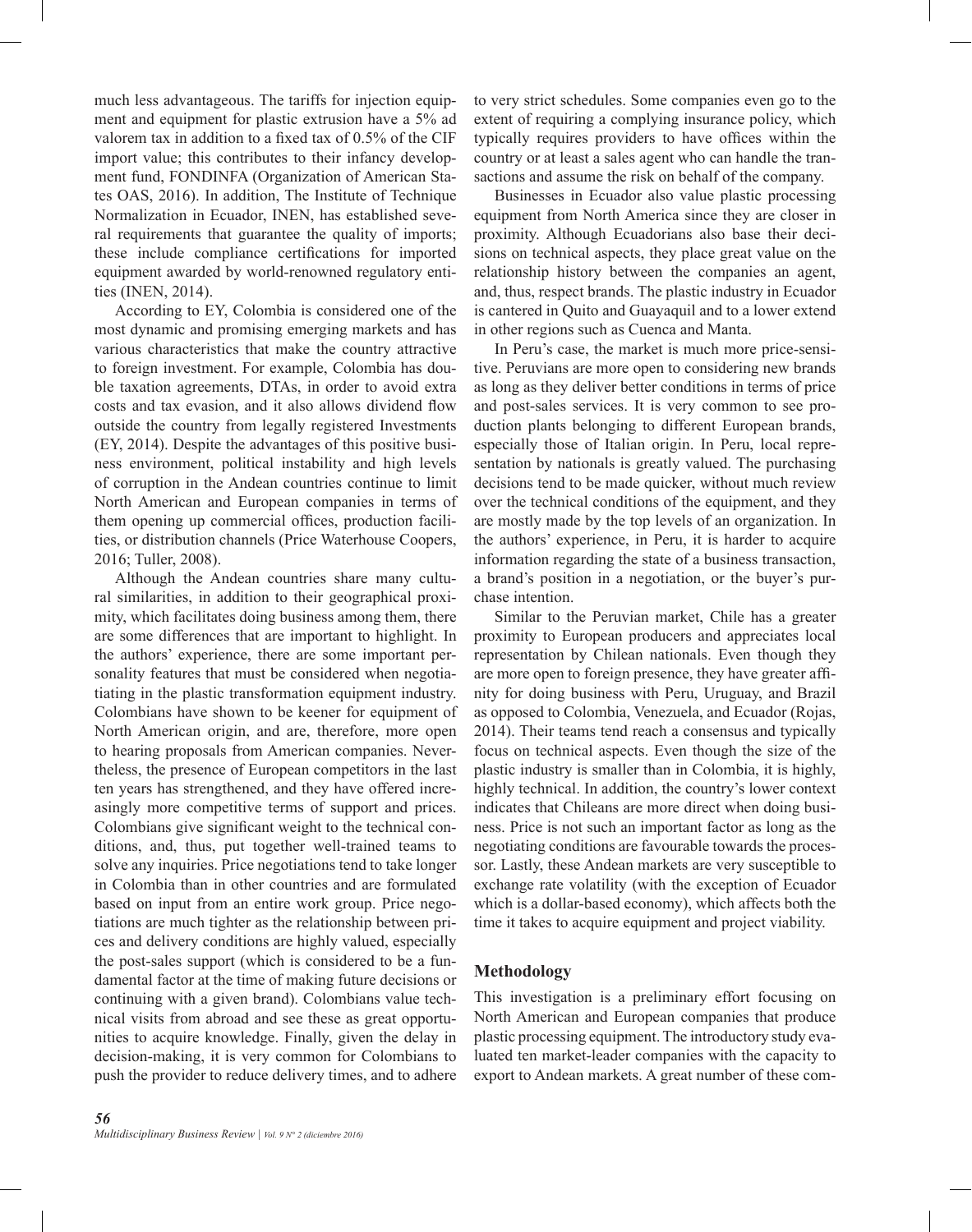much less advantageous. The tariffs for injection equipment and equipment for plastic extrusion have a 5% ad valorem tax in addition to a fixed tax of 0.5% of the CIF import value; this contributes to their infancy development fund, FONDINFA (Organization of American States OAS, 2016). In addition, The Institute of Technique Normalization in Ecuador, INEN, has established several requirements that guarantee the quality of imports; these include compliance certifications for imported equipment awarded by world-renowned regulatory entities (INEN, 2014).

According to EY, Colombia is considered one of the most dynamic and promising emerging markets and has various characteristics that make the country attractive to foreign investment. For example, Colombia has double taxation agreements, DTAs, in order to avoid extra costs and tax evasion, and it also allows dividend flow outside the country from legally registered Investments (EY, 2014). Despite the advantages of this positive business environment, political instability and high levels of corruption in the Andean countries continue to limit North American and European companies in terms of them opening up commercial offices, production facilities, or distribution channels (Price Waterhouse Coopers, 2016; Tuller, 2008).

Although the Andean countries share many cultural similarities, in addition to their geographical proximity, which facilitates doing business among them, there are some differences that are important to highlight. In the authors' experience, there are some important personality features that must be considered when negotiatiating in the plastic transformation equipment industry. Colombians have shown to be keener for equipment of North American origin, and are, therefore, more open to hearing proposals from American companies. Nevertheless, the presence of European competitors in the last ten years has strengthened, and they have offered increasingly more competitive terms of support and prices. Colombians give significant weight to the technical conditions, and, thus, put together well-trained teams to solve any inquiries. Price negotiations tend to take longer in Colombia than in other countries and are formulated based on input from an entire work group. Price negotiations are much tighter as the relationship between prices and delivery conditions are highly valued, especially the post-sales support (which is considered to be a fundamental factor at the time of making future decisions or continuing with a given brand). Colombians value technical visits from abroad and see these as great opportunities to acquire knowledge. Finally, given the delay in decision-making, it is very common for Colombians to push the provider to reduce delivery times, and to adhere

to very strict schedules. Some companies even go to the extent of requiring a complying insurance policy, which typically requires providers to have offices within the country or at least a sales agent who can handle the transactions and assume the risk on behalf of the company.

Businesses in Ecuador also value plastic processing equipment from North America since they are closer in proximity. Although Ecuadorians also base their decisions on technical aspects, they place great value on the relationship history between the companies an agent, and, thus, respect brands. The plastic industry in Ecuador is cantered in Quito and Guayaquil and to a lower extend in other regions such as Cuenca and Manta.

In Peru's case, the market is much more price-sensitive. Peruvians are more open to considering new brands as long as they deliver better conditions in terms of price and post-sales services. It is very common to see production plants belonging to different European brands, especially those of Italian origin. In Peru, local representation by nationals is greatly valued. The purchasing decisions tend to be made quicker, without much review over the technical conditions of the equipment, and they are mostly made by the top levels of an organization. In the authors' experience, in Peru, it is harder to acquire information regarding the state of a business transaction, a brand's position in a negotiation, or the buyer's purchase intention.

Similar to the Peruvian market, Chile has a greater proximity to European producers and appreciates local representation by Chilean nationals. Even though they are more open to foreign presence, they have greater affinity for doing business with Peru, Uruguay, and Brazil as opposed to Colombia, Venezuela, and Ecuador (Rojas, 2014). Their teams tend reach a consensus and typically focus on technical aspects. Even though the size of the plastic industry is smaller than in Colombia, it is highly, highly technical. In addition, the country's lower context indicates that Chileans are more direct when doing business. Price is not such an important factor as long as the negotiating conditions are favourable towards the processor. Lastly, these Andean markets are very susceptible to exchange rate volatility (with the exception of Ecuador which is a dollar-based economy), which affects both the time it takes to acquire equipment and project viability.

## **Methodology**

This investigation is a preliminary effort focusing on North American and European companies that produce plastic processing equipment. The introductory study evaluated ten market-leader companies with the capacity to export to Andean markets. A great number of these com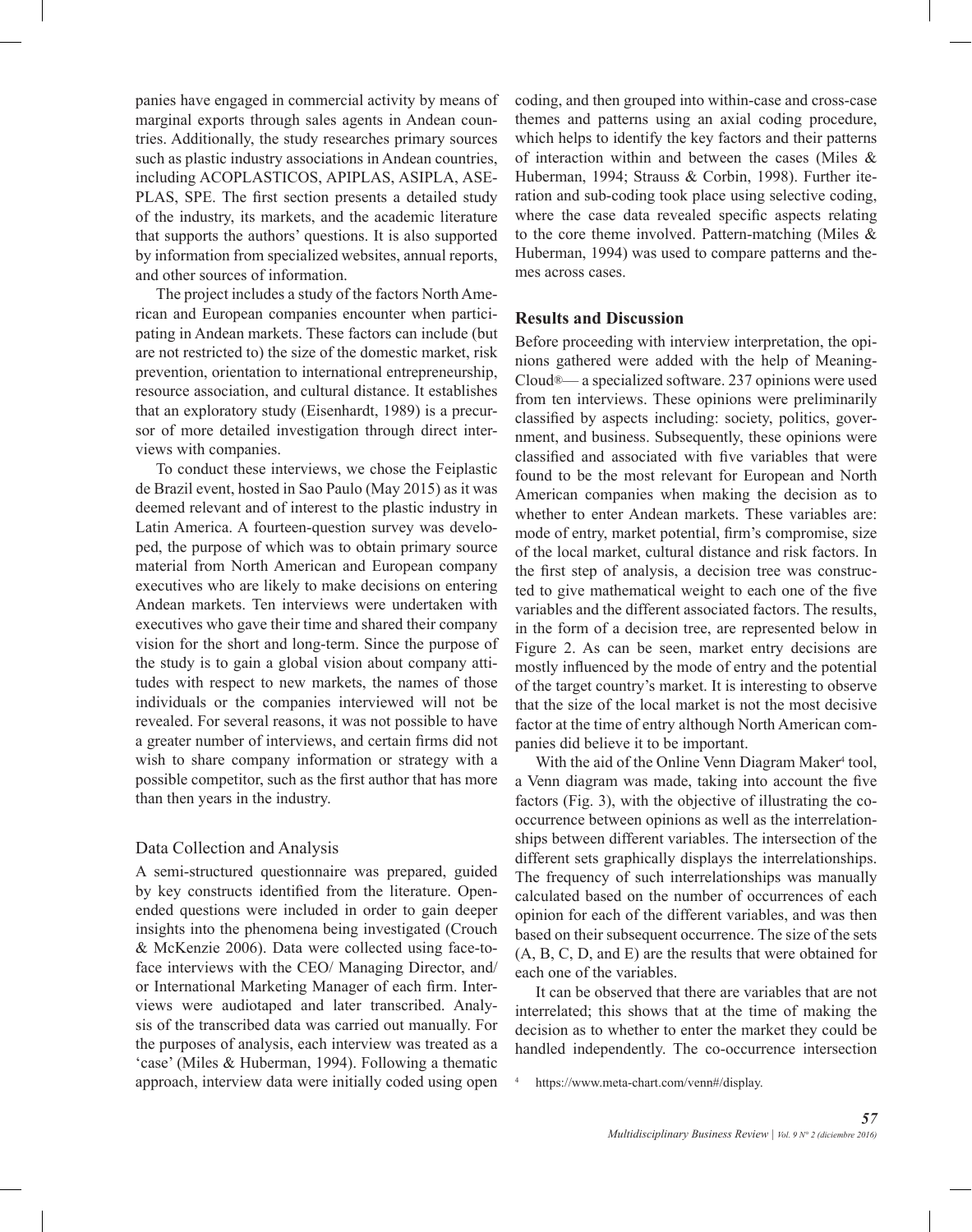panies have engaged in commercial activity by means of marginal exports through sales agents in Andean countries. Additionally, the study researches primary sources such as plastic industry associations in Andean countries, including ACOPLASTICOS, APIPLAS, ASIPLA, ASE-PLAS, SPE. The first section presents a detailed study of the industry, its markets, and the academic literature that supports the authors' questions. It is also supported by information from specialized websites, annual reports, and other sources of information.

The project includes a study of the factors North American and European companies encounter when participating in Andean markets. These factors can include (but are not restricted to) the size of the domestic market, risk prevention, orientation to international entrepreneurship, resource association, and cultural distance. It establishes that an exploratory study (Eisenhardt, 1989) is a precursor of more detailed investigation through direct interviews with companies.

To conduct these interviews, we chose the Feiplastic de Brazil event, hosted in Sao Paulo (May 2015) as it was deemed relevant and of interest to the plastic industry in Latin America. A fourteen-question survey was developed, the purpose of which was to obtain primary source material from North American and European company executives who are likely to make decisions on entering Andean markets. Ten interviews were undertaken with executives who gave their time and shared their company vision for the short and long-term. Since the purpose of the study is to gain a global vision about company attitudes with respect to new markets, the names of those individuals or the companies interviewed will not be revealed. For several reasons, it was not possible to have a greater number of interviews, and certain firms did not wish to share company information or strategy with a possible competitor, such as the first author that has more than then years in the industry.

#### Data Collection and Analysis

A semi-structured questionnaire was prepared, guided by key constructs identified from the literature. Openended questions were included in order to gain deeper insights into the phenomena being investigated (Crouch & McKenzie 2006). Data were collected using face-toface interviews with the CEO/ Managing Director, and/ or International Marketing Manager of each firm. Interviews were audiotaped and later transcribed. Analysis of the transcribed data was carried out manually. For the purposes of analysis, each interview was treated as a 'case' (Miles & Huberman, 1994). Following a thematic approach, interview data were initially coded using open coding, and then grouped into within-case and cross-case themes and patterns using an axial coding procedure, which helps to identify the key factors and their patterns of interaction within and between the cases (Miles & Huberman, 1994; Strauss & Corbin, 1998). Further iteration and sub-coding took place using selective coding, where the case data revealed specific aspects relating to the core theme involved. Pattern-matching (Miles & Huberman, 1994) was used to compare patterns and themes across cases.

## **Results and Discussion**

Before proceeding with interview interpretation, the opinions gathered were added with the help of Meaning-Cloud®— a specialized software. 237 opinions were used from ten interviews. These opinions were preliminarily classified by aspects including: society, politics, government, and business. Subsequently, these opinions were classified and associated with five variables that were found to be the most relevant for European and North American companies when making the decision as to whether to enter Andean markets. These variables are: mode of entry, market potential, firm's compromise, size of the local market, cultural distance and risk factors. In the first step of analysis, a decision tree was constructed to give mathematical weight to each one of the five variables and the different associated factors. The results, in the form of a decision tree, are represented below in Figure 2. As can be seen, market entry decisions are mostly influenced by the mode of entry and the potential of the target country's market. It is interesting to observe that the size of the local market is not the most decisive factor at the time of entry although North American companies did believe it to be important.

With the aid of the Online Venn Diagram Maker<sup>4</sup> tool, a Venn diagram was made, taking into account the five factors (Fig. 3), with the objective of illustrating the cooccurrence between opinions as well as the interrelationships between different variables. The intersection of the different sets graphically displays the interrelationships. The frequency of such interrelationships was manually calculated based on the number of occurrences of each opinion for each of the different variables, and was then based on their subsequent occurrence. The size of the sets (A, B, C, D, and E) are the results that were obtained for each one of the variables.

It can be observed that there are variables that are not interrelated; this shows that at the time of making the decision as to whether to enter the market they could be handled independently. The co-occurrence intersection

https://www.meta-chart.com/venn#/display.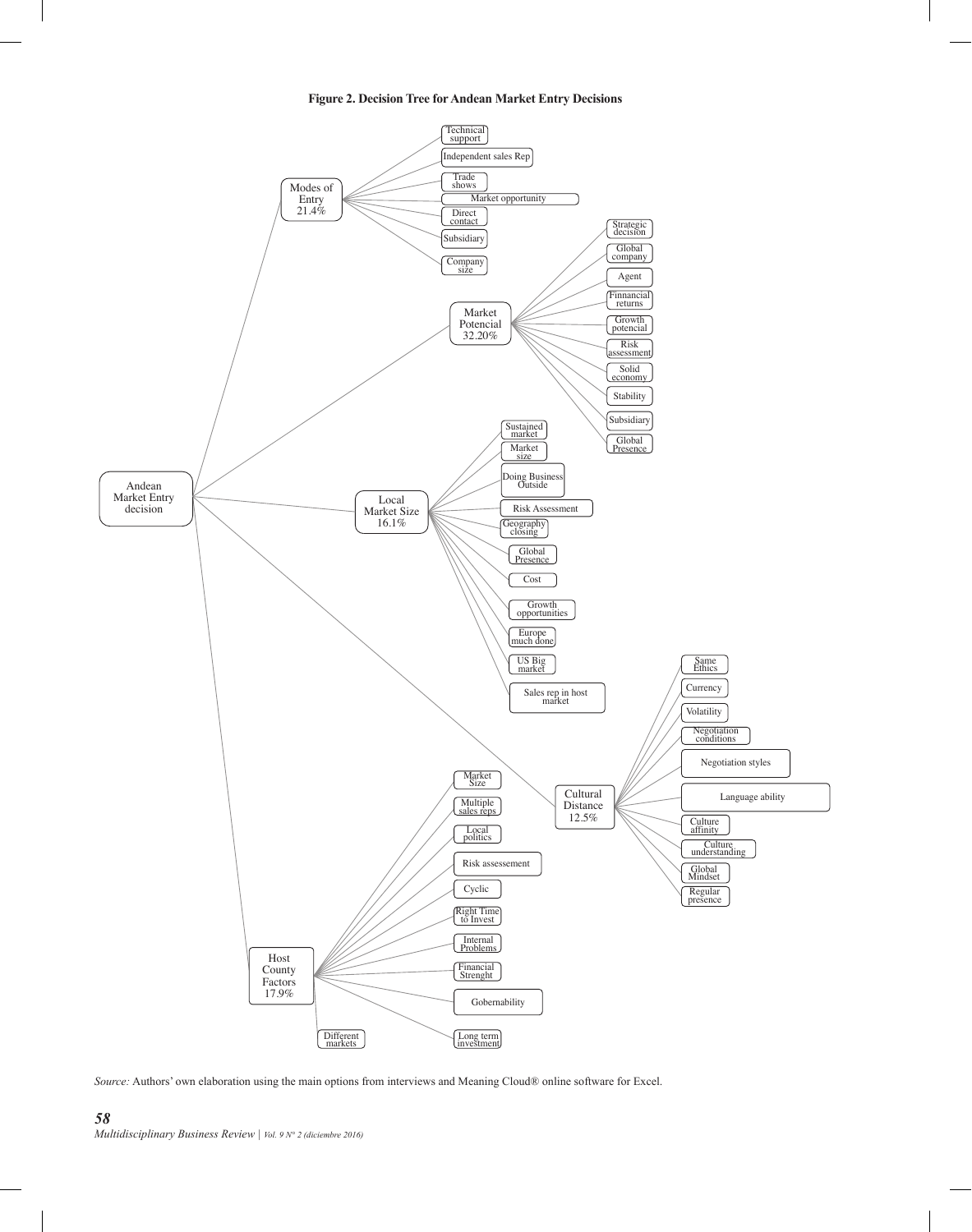



*Source:* Authors' own elaboration using the main options from interviews and Meaning Cloud® online software for Excel.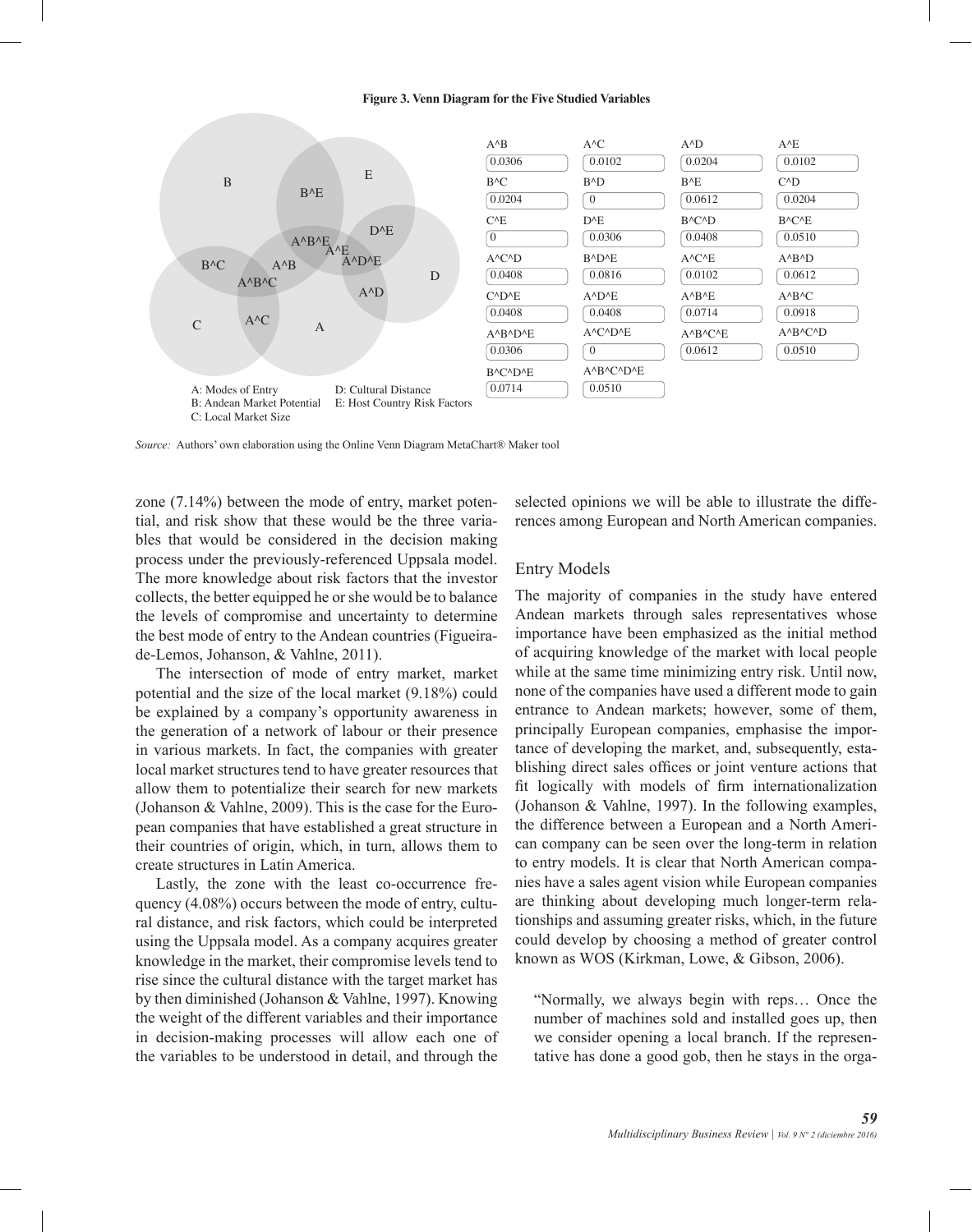#### **Figure 3. Venn Diagram for the Five Studied Variables**



*Source:* Authors' own elaboration using the Online Venn Diagram MetaChart® Maker tool

zone (7.14%) between the mode of entry, market potential, and risk show that these would be the three variables that would be considered in the decision making process under the previously-referenced Uppsala model. The more knowledge about risk factors that the investor collects, the better equipped he or she would be to balance the levels of compromise and uncertainty to determine the best mode of entry to the Andean countries (Figueirade-Lemos, Johanson, & Vahlne, 2011).

The intersection of mode of entry market, market potential and the size of the local market (9.18%) could be explained by a company's opportunity awareness in the generation of a network of labour or their presence in various markets. In fact, the companies with greater local market structures tend to have greater resources that allow them to potentialize their search for new markets (Johanson & Vahlne, 2009). This is the case for the European companies that have established a great structure in their countries of origin, which, in turn, allows them to create structures in Latin America.

Lastly, the zone with the least co-occurrence frequency (4.08%) occurs between the mode of entry, cultural distance, and risk factors, which could be interpreted using the Uppsala model. As a company acquires greater knowledge in the market, their compromise levels tend to rise since the cultural distance with the target market has by then diminished (Johanson & Vahlne, 1997). Knowing the weight of the different variables and their importance in decision-making processes will allow each one of the variables to be understood in detail, and through the

selected opinions we will be able to illustrate the differences among European and North American companies.

#### Entry Models

The majority of companies in the study have entered Andean markets through sales representatives whose importance have been emphasized as the initial method of acquiring knowledge of the market with local people while at the same time minimizing entry risk. Until now, none of the companies have used a different mode to gain entrance to Andean markets; however, some of them, principally European companies, emphasise the importance of developing the market, and, subsequently, establishing direct sales offices or joint venture actions that fit logically with models of firm internationalization (Johanson & Vahlne, 1997). In the following examples, the difference between a European and a North American company can be seen over the long-term in relation to entry models. It is clear that North American companies have a sales agent vision while European companies are thinking about developing much longer-term relationships and assuming greater risks, which, in the future could develop by choosing a method of greater control known as WOS (Kirkman, Lowe, & Gibson, 2006).

"Normally, we always begin with reps… Once the number of machines sold and installed goes up, then we consider opening a local branch. If the representative has done a good gob, then he stays in the orga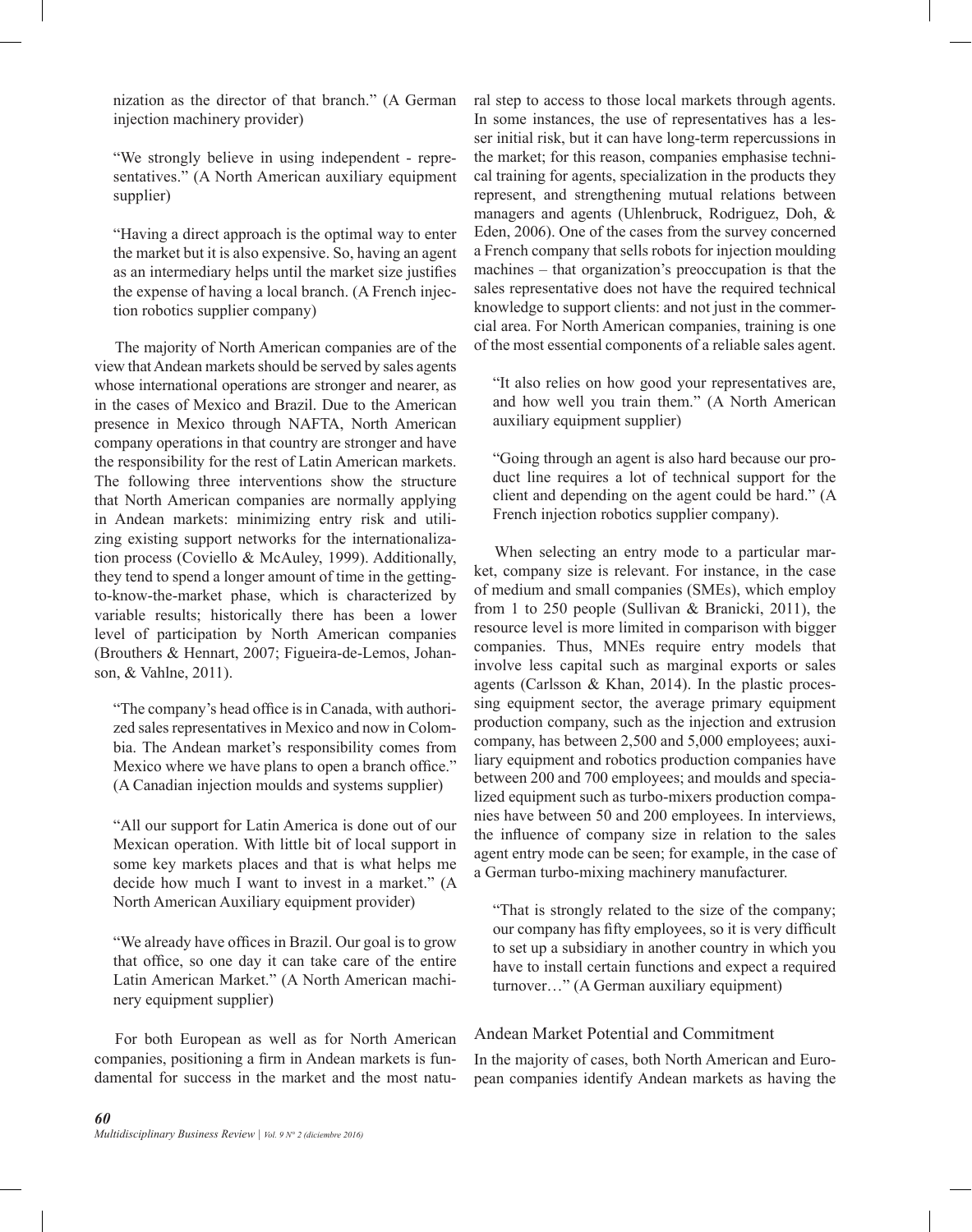nization as the director of that branch." (A German injection machinery provider)

"We strongly believe in using independent - representatives." (A North American auxiliary equipment supplier)

"Having a direct approach is the optimal way to enter the market but it is also expensive. So, having an agent as an intermediary helps until the market size justifies the expense of having a local branch. (A French injection robotics supplier company)

The majority of North American companies are of the view that Andean markets should be served by sales agents whose international operations are stronger and nearer, as in the cases of Mexico and Brazil. Due to the American presence in Mexico through NAFTA, North American company operations in that country are stronger and have the responsibility for the rest of Latin American markets. The following three interventions show the structure that North American companies are normally applying in Andean markets: minimizing entry risk and utilizing existing support networks for the internationalization process (Coviello & McAuley, 1999). Additionally, they tend to spend a longer amount of time in the gettingto-know-the-market phase, which is characterized by variable results; historically there has been a lower level of participation by North American companies (Brouthers & Hennart, 2007; Figueira-de-Lemos, Johanson, & Vahlne, 2011).

"The company's head office is in Canada, with authorized sales representatives in Mexico and now in Colombia. The Andean market's responsibility comes from Mexico where we have plans to open a branch office." (A Canadian injection moulds and systems supplier)

"All our support for Latin America is done out of our Mexican operation. With little bit of local support in some key markets places and that is what helps me decide how much I want to invest in a market." (A North American Auxiliary equipment provider)

"We already have offices in Brazil. Our goal is to grow that office, so one day it can take care of the entire Latin American Market." (A North American machinery equipment supplier)

For both European as well as for North American companies, positioning a firm in Andean markets is fundamental for success in the market and the most natural step to access to those local markets through agents. In some instances, the use of representatives has a lesser initial risk, but it can have long-term repercussions in the market; for this reason, companies emphasise technical training for agents, specialization in the products they represent, and strengthening mutual relations between managers and agents (Uhlenbruck, Rodriguez, Doh, & Eden, 2006). One of the cases from the survey concerned a French company that sells robots for injection moulding machines – that organization's preoccupation is that the sales representative does not have the required technical knowledge to support clients: and not just in the commercial area. For North American companies, training is one of the most essential components of a reliable sales agent.

"It also relies on how good your representatives are, and how well you train them." (A North American auxiliary equipment supplier)

"Going through an agent is also hard because our product line requires a lot of technical support for the client and depending on the agent could be hard." (A French injection robotics supplier company).

When selecting an entry mode to a particular market, company size is relevant. For instance, in the case of medium and small companies (SMEs), which employ from 1 to 250 people (Sullivan & Branicki, 2011), the resource level is more limited in comparison with bigger companies. Thus, MNEs require entry models that involve less capital such as marginal exports or sales agents (Carlsson & Khan, 2014). In the plastic processing equipment sector, the average primary equipment production company, such as the injection and extrusion company, has between 2,500 and 5,000 employees; auxiliary equipment and robotics production companies have between 200 and 700 employees; and moulds and specialized equipment such as turbo-mixers production companies have between 50 and 200 employees. In interviews, the influence of company size in relation to the sales agent entry mode can be seen; for example, in the case of a German turbo-mixing machinery manufacturer.

"That is strongly related to the size of the company; our company has fifty employees, so it is very difficult to set up a subsidiary in another country in which you have to install certain functions and expect a required turnover…" (A German auxiliary equipment)

## Andean Market Potential and Commitment

In the majority of cases, both North American and European companies identify Andean markets as having the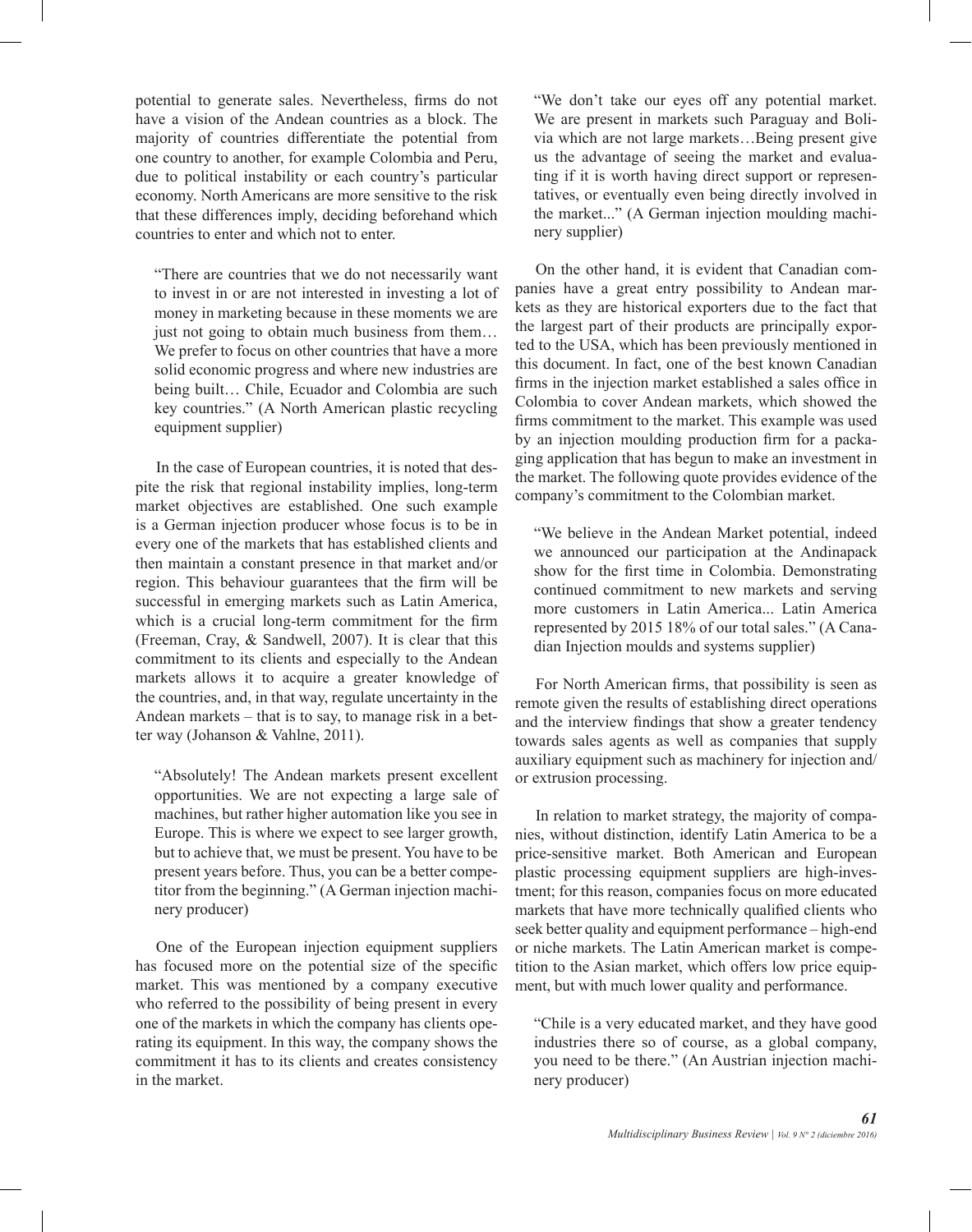potential to generate sales. Nevertheless, firms do not have a vision of the Andean countries as a block. The majority of countries differentiate the potential from one country to another, for example Colombia and Peru, due to political instability or each country's particular economy. North Americans are more sensitive to the risk that these differences imply, deciding beforehand which countries to enter and which not to enter.

"There are countries that we do not necessarily want to invest in or are not interested in investing a lot of money in marketing because in these moments we are just not going to obtain much business from them… We prefer to focus on other countries that have a more solid economic progress and where new industries are being built… Chile, Ecuador and Colombia are such key countries." (A North American plastic recycling equipment supplier)

In the case of European countries, it is noted that despite the risk that regional instability implies, long-term market objectives are established. One such example is a German injection producer whose focus is to be in every one of the markets that has established clients and then maintain a constant presence in that market and/or region. This behaviour guarantees that the firm will be successful in emerging markets such as Latin America, which is a crucial long-term commitment for the firm (Freeman, Cray, & Sandwell, 2007). It is clear that this commitment to its clients and especially to the Andean markets allows it to acquire a greater knowledge of the countries, and, in that way, regulate uncertainty in the Andean markets – that is to say, to manage risk in a better way (Johanson & Vahlne, 2011).

"Absolutely! The Andean markets present excellent opportunities. We are not expecting a large sale of machines, but rather higher automation like you see in Europe. This is where we expect to see larger growth, but to achieve that, we must be present. You have to be present years before. Thus, you can be a better competitor from the beginning." (A German injection machinery producer)

One of the European injection equipment suppliers has focused more on the potential size of the specific market. This was mentioned by a company executive who referred to the possibility of being present in every one of the markets in which the company has clients operating its equipment. In this way, the company shows the commitment it has to its clients and creates consistency in the market.

"We don't take our eyes off any potential market. We are present in markets such Paraguay and Bolivia which are not large markets…Being present give us the advantage of seeing the market and evaluating if it is worth having direct support or representatives, or eventually even being directly involved in the market..." (A German injection moulding machinery supplier)

On the other hand, it is evident that Canadian companies have a great entry possibility to Andean markets as they are historical exporters due to the fact that the largest part of their products are principally exported to the USA, which has been previously mentioned in this document. In fact, one of the best known Canadian firms in the injection market established a sales office in Colombia to cover Andean markets, which showed the firms commitment to the market. This example was used by an injection moulding production firm for a packaging application that has begun to make an investment in the market. The following quote provides evidence of the company's commitment to the Colombian market.

"We believe in the Andean Market potential, indeed we announced our participation at the Andinapack show for the first time in Colombia. Demonstrating continued commitment to new markets and serving more customers in Latin America... Latin America represented by 2015 18% of our total sales." (A Canadian Injection moulds and systems supplier)

For North American firms, that possibility is seen as remote given the results of establishing direct operations and the interview findings that show a greater tendency towards sales agents as well as companies that supply auxiliary equipment such as machinery for injection and/ or extrusion processing.

In relation to market strategy, the majority of companies, without distinction, identify Latin America to be a price-sensitive market. Both American and European plastic processing equipment suppliers are high-investment; for this reason, companies focus on more educated markets that have more technically qualified clients who seek better quality and equipment performance – high-end or niche markets. The Latin American market is competition to the Asian market, which offers low price equipment, but with much lower quality and performance.

"Chile is a very educated market, and they have good industries there so of course, as a global company, you need to be there." (An Austrian injection machinery producer)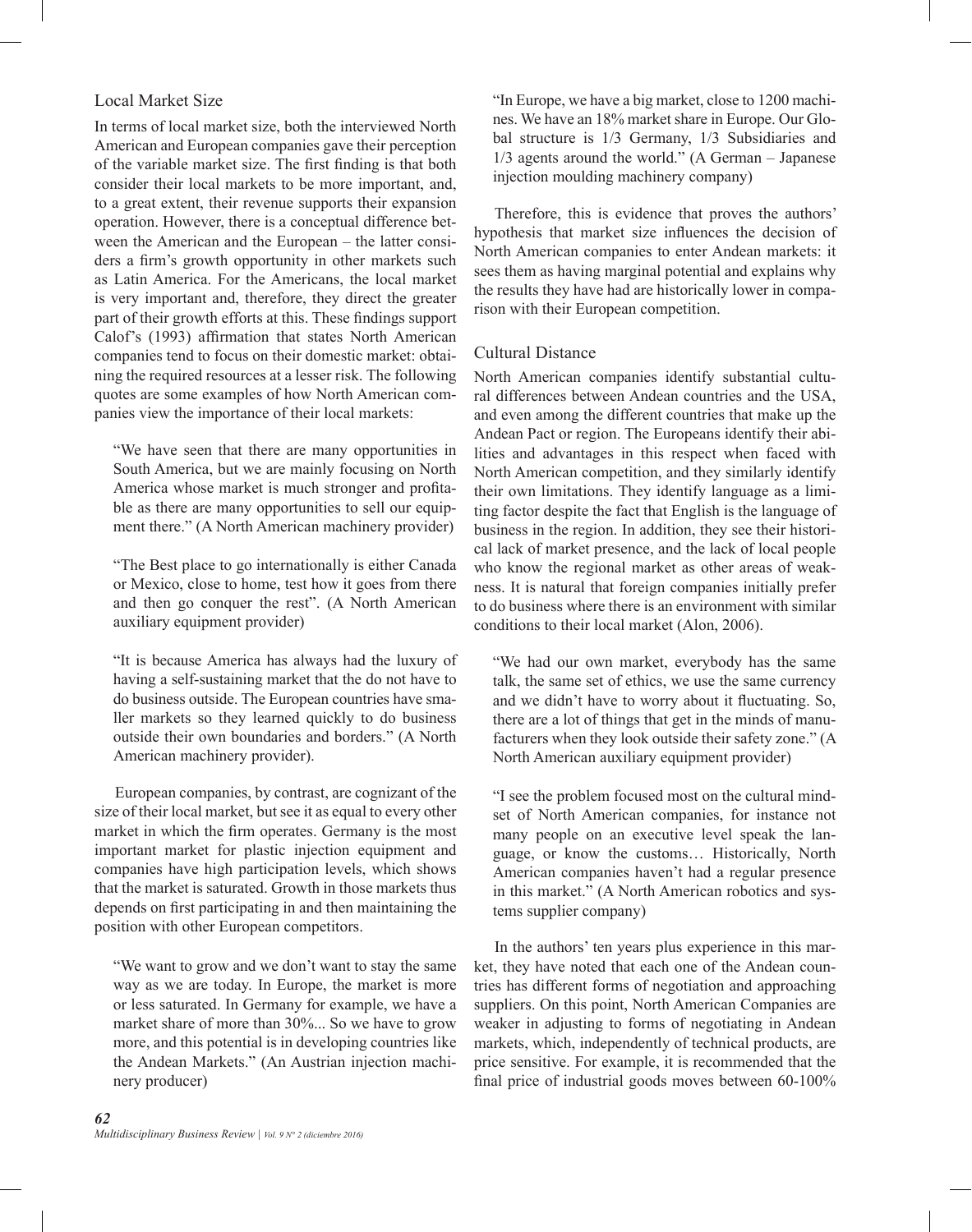### Local Market Size

In terms of local market size, both the interviewed North American and European companies gave their perception of the variable market size. The first finding is that both consider their local markets to be more important, and, to a great extent, their revenue supports their expansion operation. However, there is a conceptual difference between the American and the European – the latter considers a firm's growth opportunity in other markets such as Latin America. For the Americans, the local market is very important and, therefore, they direct the greater part of their growth efforts at this. These findings support Calof's (1993) affirmation that states North American companies tend to focus on their domestic market: obtaining the required resources at a lesser risk. The following quotes are some examples of how North American companies view the importance of their local markets:

"We have seen that there are many opportunities in South America, but we are mainly focusing on North America whose market is much stronger and profitable as there are many opportunities to sell our equipment there." (A North American machinery provider)

"The Best place to go internationally is either Canada or Mexico, close to home, test how it goes from there and then go conquer the rest". (A North American auxiliary equipment provider)

"It is because America has always had the luxury of having a self-sustaining market that the do not have to do business outside. The European countries have smaller markets so they learned quickly to do business outside their own boundaries and borders." (A North American machinery provider).

European companies, by contrast, are cognizant of the size of their local market, but see it as equal to every other market in which the firm operates. Germany is the most important market for plastic injection equipment and companies have high participation levels, which shows that the market is saturated. Growth in those markets thus depends on first participating in and then maintaining the position with other European competitors.

"We want to grow and we don't want to stay the same way as we are today. In Europe, the market is more or less saturated. In Germany for example, we have a market share of more than 30%... So we have to grow more, and this potential is in developing countries like the Andean Markets." (An Austrian injection machinery producer)

"In Europe, we have a big market, close to 1200 machines. We have an 18% market share in Europe. Our Global structure is 1/3 Germany, 1/3 Subsidiaries and 1/3 agents around the world." (A German – Japanese injection moulding machinery company)

Therefore, this is evidence that proves the authors' hypothesis that market size influences the decision of North American companies to enter Andean markets: it sees them as having marginal potential and explains why the results they have had are historically lower in comparison with their European competition.

#### Cultural Distance

North American companies identify substantial cultural differences between Andean countries and the USA, and even among the different countries that make up the Andean Pact or region. The Europeans identify their abilities and advantages in this respect when faced with North American competition, and they similarly identify their own limitations. They identify language as a limiting factor despite the fact that English is the language of business in the region. In addition, they see their historical lack of market presence, and the lack of local people who know the regional market as other areas of weakness. It is natural that foreign companies initially prefer to do business where there is an environment with similar conditions to their local market (Alon, 2006).

"We had our own market, everybody has the same talk, the same set of ethics, we use the same currency and we didn't have to worry about it fluctuating. So, there are a lot of things that get in the minds of manufacturers when they look outside their safety zone." (A North American auxiliary equipment provider)

"I see the problem focused most on the cultural mindset of North American companies, for instance not many people on an executive level speak the language, or know the customs… Historically, North American companies haven't had a regular presence in this market." (A North American robotics and systems supplier company)

In the authors' ten years plus experience in this market, they have noted that each one of the Andean countries has different forms of negotiation and approaching suppliers. On this point, North American Companies are weaker in adjusting to forms of negotiating in Andean markets, which, independently of technical products, are price sensitive. For example, it is recommended that the final price of industrial goods moves between 60-100%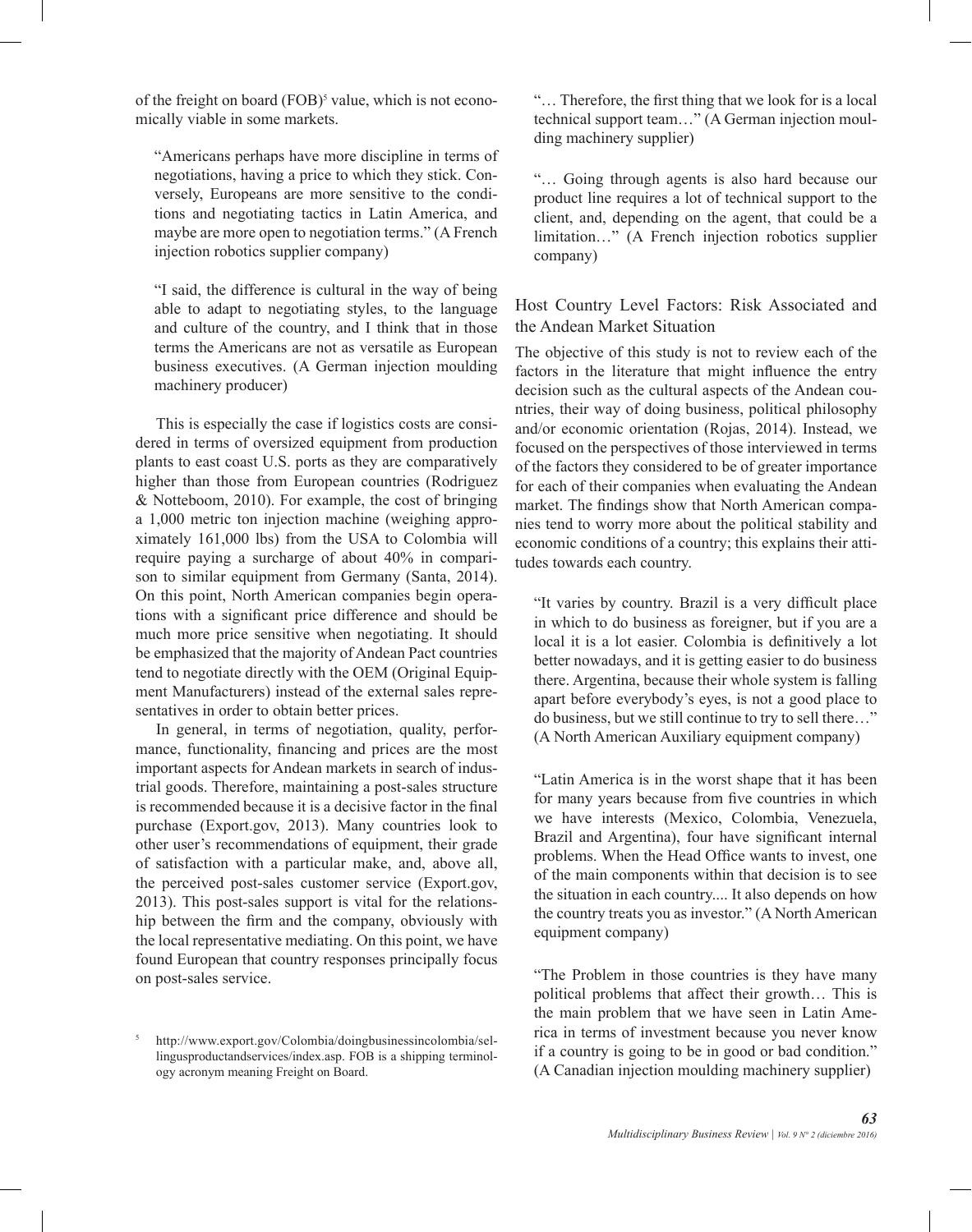of the freight on board (FOB)<sup>5</sup> value, which is not economically viable in some markets.

"Americans perhaps have more discipline in terms of negotiations, having a price to which they stick. Conversely, Europeans are more sensitive to the conditions and negotiating tactics in Latin America, and maybe are more open to negotiation terms." (A French injection robotics supplier company)

"I said, the difference is cultural in the way of being able to adapt to negotiating styles, to the language and culture of the country, and I think that in those terms the Americans are not as versatile as European business executives. (A German injection moulding machinery producer)

This is especially the case if logistics costs are considered in terms of oversized equipment from production plants to east coast U.S. ports as they are comparatively higher than those from European countries (Rodriguez & Notteboom, 2010). For example, the cost of bringing a 1,000 metric ton injection machine (weighing approximately 161,000 lbs) from the USA to Colombia will require paying a surcharge of about 40% in comparison to similar equipment from Germany (Santa, 2014). On this point, North American companies begin operations with a significant price difference and should be much more price sensitive when negotiating. It should be emphasized that the majority of Andean Pact countries tend to negotiate directly with the OEM (Original Equipment Manufacturers) instead of the external sales representatives in order to obtain better prices.

In general, in terms of negotiation, quality, performance, functionality, financing and prices are the most important aspects for Andean markets in search of industrial goods. Therefore, maintaining a post-sales structure is recommended because it is a decisive factor in the final purchase (Export.gov, 2013). Many countries look to other user's recommendations of equipment, their grade of satisfaction with a particular make, and, above all, the perceived post-sales customer service (Export.gov, 2013). This post-sales support is vital for the relationship between the firm and the company, obviously with the local representative mediating. On this point, we have found European that country responses principally focus on post-sales service.

<sup>5</sup> http://www.export.gov/Colombia/doingbusinessincolombia/sellingusproductandservices/index.asp. FOB is a shipping terminology acronym meaning Freight on Board.

"… Therefore, the first thing that we look for is a local technical support team…" (A German injection moulding machinery supplier)

"… Going through agents is also hard because our product line requires a lot of technical support to the client, and, depending on the agent, that could be a limitation…" (A French injection robotics supplier company)

Host Country Level Factors: Risk Associated and the Andean Market Situation

The objective of this study is not to review each of the factors in the literature that might influence the entry decision such as the cultural aspects of the Andean countries, their way of doing business, political philosophy and/or economic orientation (Rojas, 2014). Instead, we focused on the perspectives of those interviewed in terms of the factors they considered to be of greater importance for each of their companies when evaluating the Andean market. The findings show that North American companies tend to worry more about the political stability and economic conditions of a country; this explains their attitudes towards each country.

"It varies by country. Brazil is a very difficult place in which to do business as foreigner, but if you are a local it is a lot easier. Colombia is definitively a lot better nowadays, and it is getting easier to do business there. Argentina, because their whole system is falling apart before everybody's eyes, is not a good place to do business, but we still continue to try to sell there…" (A North American Auxiliary equipment company)

"Latin America is in the worst shape that it has been for many years because from five countries in which we have interests (Mexico, Colombia, Venezuela, Brazil and Argentina), four have significant internal problems. When the Head Office wants to invest, one of the main components within that decision is to see the situation in each country.... It also depends on how the country treats you as investor." (A North American equipment company)

"The Problem in those countries is they have many political problems that affect their growth… This is the main problem that we have seen in Latin America in terms of investment because you never know if a country is going to be in good or bad condition." (A Canadian injection moulding machinery supplier)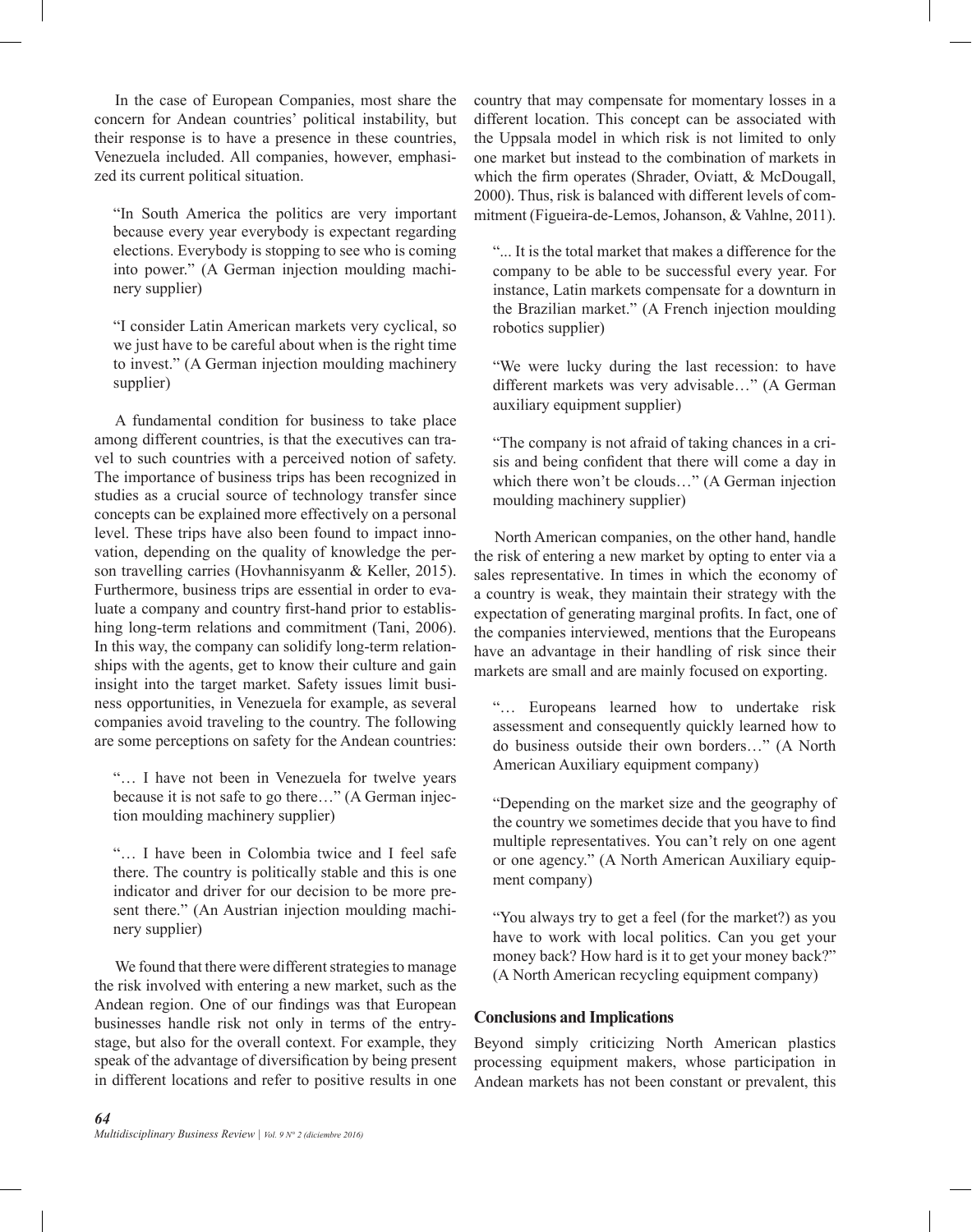In the case of European Companies, most share the concern for Andean countries' political instability, but their response is to have a presence in these countries, Venezuela included. All companies, however, emphasized its current political situation.

"In South America the politics are very important because every year everybody is expectant regarding elections. Everybody is stopping to see who is coming into power." (A German injection moulding machinery supplier)

"I consider Latin American markets very cyclical, so we just have to be careful about when is the right time to invest." (A German injection moulding machinery supplier)

A fundamental condition for business to take place among different countries, is that the executives can travel to such countries with a perceived notion of safety. The importance of business trips has been recognized in studies as a crucial source of technology transfer since concepts can be explained more effectively on a personal level. These trips have also been found to impact innovation, depending on the quality of knowledge the person travelling carries (Hovhannisyanm & Keller, 2015). Furthermore, business trips are essential in order to evaluate a company and country first-hand prior to establishing long-term relations and commitment (Tani, 2006). In this way, the company can solidify long-term relationships with the agents, get to know their culture and gain insight into the target market. Safety issues limit business opportunities, in Venezuela for example, as several companies avoid traveling to the country. The following are some perceptions on safety for the Andean countries:

"… I have not been in Venezuela for twelve years because it is not safe to go there…" (A German injection moulding machinery supplier)

"… I have been in Colombia twice and I feel safe there. The country is politically stable and this is one indicator and driver for our decision to be more present there." (An Austrian injection moulding machinery supplier)

We found that there were different strategies to manage the risk involved with entering a new market, such as the Andean region. One of our findings was that European businesses handle risk not only in terms of the entrystage, but also for the overall context. For example, they speak of the advantage of diversification by being present in different locations and refer to positive results in one

country that may compensate for momentary losses in a different location. This concept can be associated with the Uppsala model in which risk is not limited to only one market but instead to the combination of markets in which the firm operates (Shrader, Oviatt, & McDougall, 2000). Thus, risk is balanced with different levels of commitment (Figueira-de-Lemos, Johanson, & Vahlne, 2011).

"... It is the total market that makes a difference for the company to be able to be successful every year. For instance, Latin markets compensate for a downturn in the Brazilian market." (A French injection moulding robotics supplier)

"We were lucky during the last recession: to have different markets was very advisable…" (A German auxiliary equipment supplier)

"The company is not afraid of taking chances in a crisis and being confident that there will come a day in which there won't be clouds…" (A German injection moulding machinery supplier)

North American companies, on the other hand, handle the risk of entering a new market by opting to enter via a sales representative. In times in which the economy of a country is weak, they maintain their strategy with the expectation of generating marginal profits. In fact, one of the companies interviewed, mentions that the Europeans have an advantage in their handling of risk since their markets are small and are mainly focused on exporting.

"… Europeans learned how to undertake risk assessment and consequently quickly learned how to do business outside their own borders…" (A North American Auxiliary equipment company)

"Depending on the market size and the geography of the country we sometimes decide that you have to find multiple representatives. You can't rely on one agent or one agency." (A North American Auxiliary equipment company)

"You always try to get a feel (for the market?) as you have to work with local politics. Can you get your money back? How hard is it to get your money back?" (A North American recycling equipment company)

### **Conclusions and Implications**

Beyond simply criticizing North American plastics processing equipment makers, whose participation in Andean markets has not been constant or prevalent, this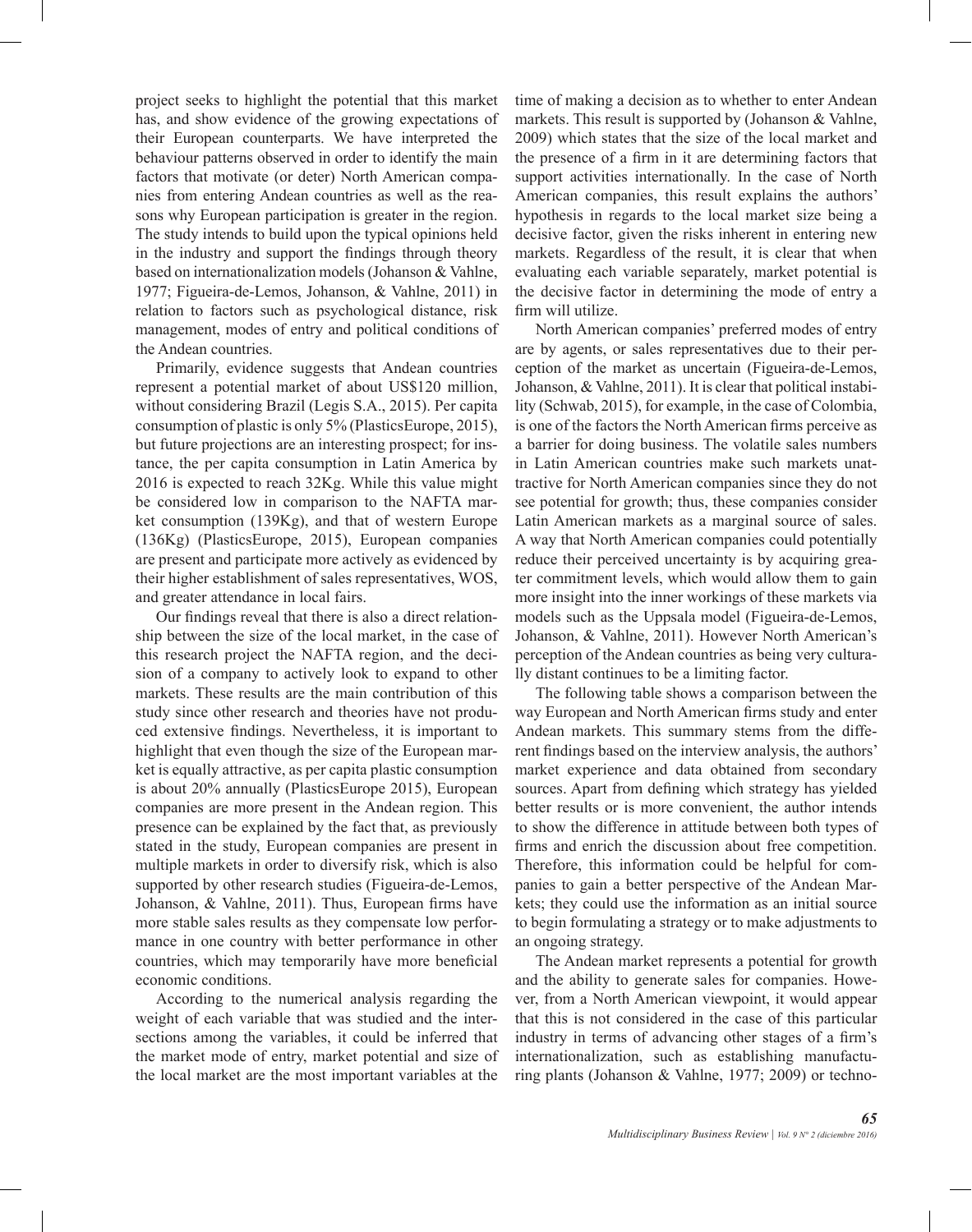project seeks to highlight the potential that this market has, and show evidence of the growing expectations of their European counterparts. We have interpreted the behaviour patterns observed in order to identify the main factors that motivate (or deter) North American companies from entering Andean countries as well as the reasons why European participation is greater in the region. The study intends to build upon the typical opinions held in the industry and support the findings through theory based on internationalization models (Johanson & Vahlne, 1977; Figueira-de-Lemos, Johanson, & Vahlne, 2011) in relation to factors such as psychological distance, risk management, modes of entry and political conditions of the Andean countries.

Primarily, evidence suggests that Andean countries represent a potential market of about US\$120 million, without considering Brazil (Legis S.A., 2015). Per capita consumption of plastic is only 5% (PlasticsEurope, 2015), but future projections are an interesting prospect; for instance, the per capita consumption in Latin America by 2016 is expected to reach 32Kg. While this value might be considered low in comparison to the NAFTA market consumption (139Kg), and that of western Europe (136Kg) (PlasticsEurope, 2015), European companies are present and participate more actively as evidenced by their higher establishment of sales representatives, WOS, and greater attendance in local fairs.

Our findings reveal that there is also a direct relationship between the size of the local market, in the case of this research project the NAFTA region, and the decision of a company to actively look to expand to other markets. These results are the main contribution of this study since other research and theories have not produced extensive findings. Nevertheless, it is important to highlight that even though the size of the European market is equally attractive, as per capita plastic consumption is about 20% annually (PlasticsEurope 2015), European companies are more present in the Andean region. This presence can be explained by the fact that, as previously stated in the study, European companies are present in multiple markets in order to diversify risk, which is also supported by other research studies (Figueira-de-Lemos, Johanson, & Vahlne, 2011). Thus, European firms have more stable sales results as they compensate low performance in one country with better performance in other countries, which may temporarily have more beneficial economic conditions.

According to the numerical analysis regarding the weight of each variable that was studied and the intersections among the variables, it could be inferred that the market mode of entry, market potential and size of the local market are the most important variables at the

time of making a decision as to whether to enter Andean markets. This result is supported by (Johanson & Vahlne, 2009) which states that the size of the local market and the presence of a firm in it are determining factors that support activities internationally. In the case of North American companies, this result explains the authors' hypothesis in regards to the local market size being a decisive factor, given the risks inherent in entering new markets. Regardless of the result, it is clear that when evaluating each variable separately, market potential is the decisive factor in determining the mode of entry a firm will utilize.

North American companies' preferred modes of entry are by agents, or sales representatives due to their perception of the market as uncertain (Figueira-de-Lemos, Johanson, & Vahlne, 2011). It is clear that political instability (Schwab, 2015), for example, in the case of Colombia, is one of the factors the North American firms perceive as a barrier for doing business. The volatile sales numbers in Latin American countries make such markets unattractive for North American companies since they do not see potential for growth; thus, these companies consider Latin American markets as a marginal source of sales. A way that North American companies could potentially reduce their perceived uncertainty is by acquiring greater commitment levels, which would allow them to gain more insight into the inner workings of these markets via models such as the Uppsala model (Figueira-de-Lemos, Johanson, & Vahlne, 2011). However North American's perception of the Andean countries as being very culturally distant continues to be a limiting factor.

The following table shows a comparison between the way European and North American firms study and enter Andean markets. This summary stems from the different findings based on the interview analysis, the authors' market experience and data obtained from secondary sources. Apart from defining which strategy has yielded better results or is more convenient, the author intends to show the difference in attitude between both types of firms and enrich the discussion about free competition. Therefore, this information could be helpful for companies to gain a better perspective of the Andean Markets; they could use the information as an initial source to begin formulating a strategy or to make adjustments to an ongoing strategy.

The Andean market represents a potential for growth and the ability to generate sales for companies. However, from a North American viewpoint, it would appear that this is not considered in the case of this particular industry in terms of advancing other stages of a firm's internationalization, such as establishing manufacturing plants (Johanson & Vahlne, 1977; 2009) or techno-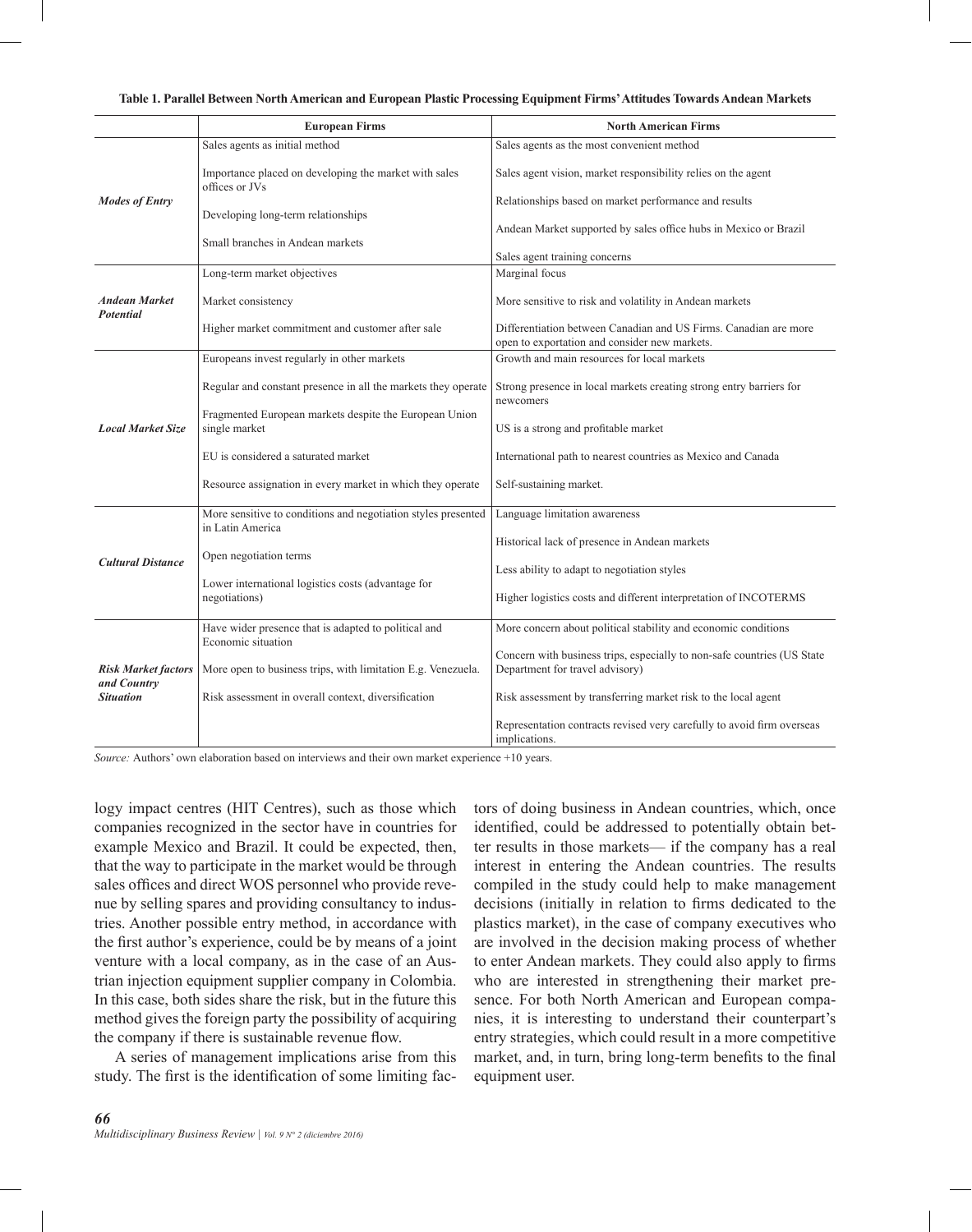|                                                               | <b>European Firms</b>                                                             | <b>North American Firms</b>                                                                                       |
|---------------------------------------------------------------|-----------------------------------------------------------------------------------|-------------------------------------------------------------------------------------------------------------------|
| <b>Modes of Entry</b>                                         | Sales agents as initial method                                                    | Sales agents as the most convenient method                                                                        |
|                                                               | Importance placed on developing the market with sales<br>offices or JVs           | Sales agent vision, market responsibility relies on the agent                                                     |
|                                                               | Developing long-term relationships                                                | Relationships based on market performance and results                                                             |
|                                                               | Small branches in Andean markets                                                  | Andean Market supported by sales office hubs in Mexico or Brazil<br>Sales agent training concerns                 |
| <b>Andean Market</b><br><b>Potential</b>                      | Long-term market objectives                                                       | Marginal focus                                                                                                    |
|                                                               | Market consistency                                                                | More sensitive to risk and volatility in Andean markets                                                           |
|                                                               | Higher market commitment and customer after sale                                  | Differentiation between Canadian and US Firms. Canadian are more<br>open to exportation and consider new markets. |
| <b>Local Market Size</b>                                      | Europeans invest regularly in other markets                                       | Growth and main resources for local markets                                                                       |
|                                                               | Regular and constant presence in all the markets they operate                     | Strong presence in local markets creating strong entry barriers for<br>newcomers                                  |
|                                                               | Fragmented European markets despite the European Union<br>single market           | US is a strong and profitable market                                                                              |
|                                                               | EU is considered a saturated market                                               | International path to nearest countries as Mexico and Canada                                                      |
|                                                               | Resource assignation in every market in which they operate                        | Self-sustaining market.                                                                                           |
| <b>Cultural Distance</b>                                      | More sensitive to conditions and negotiation styles presented<br>in Latin America | Language limitation awareness                                                                                     |
|                                                               |                                                                                   | Historical lack of presence in Andean markets                                                                     |
|                                                               | Open negotiation terms                                                            | Less ability to adapt to negotiation styles                                                                       |
|                                                               | Lower international logistics costs (advantage for<br>negotiations)               | Higher logistics costs and different interpretation of INCOTERMS                                                  |
| <b>Risk Market factors</b><br>and Country<br><b>Situation</b> | Have wider presence that is adapted to political and<br>Economic situation        | More concern about political stability and economic conditions                                                    |
|                                                               | More open to business trips, with limitation E.g. Venezuela.                      | Concern with business trips, especially to non-safe countries (US State<br>Department for travel advisory)        |
|                                                               | Risk assessment in overall context, diversification                               | Risk assessment by transferring market risk to the local agent                                                    |
|                                                               |                                                                                   | Representation contracts revised very carefully to avoid firm overseas<br>implications.                           |

**Table 1. Parallel Between North American and European Plastic Processing Equipment Firms' Attitudes Towards Andean Markets**

*Source:* Authors' own elaboration based on interviews and their own market experience +10 years.

logy impact centres (HIT Centres), such as those which companies recognized in the sector have in countries for example Mexico and Brazil. It could be expected, then, that the way to participate in the market would be through sales offices and direct WOS personnel who provide revenue by selling spares and providing consultancy to industries. Another possible entry method, in accordance with the first author's experience, could be by means of a joint venture with a local company, as in the case of an Austrian injection equipment supplier company in Colombia. In this case, both sides share the risk, but in the future this method gives the foreign party the possibility of acquiring the company if there is sustainable revenue flow.

A series of management implications arise from this study. The first is the identification of some limiting factors of doing business in Andean countries, which, once identified, could be addressed to potentially obtain better results in those markets— if the company has a real interest in entering the Andean countries. The results compiled in the study could help to make management decisions (initially in relation to firms dedicated to the plastics market), in the case of company executives who are involved in the decision making process of whether to enter Andean markets. They could also apply to firms who are interested in strengthening their market presence. For both North American and European companies, it is interesting to understand their counterpart's entry strategies, which could result in a more competitive market, and, in turn, bring long-term benefits to the final equipment user.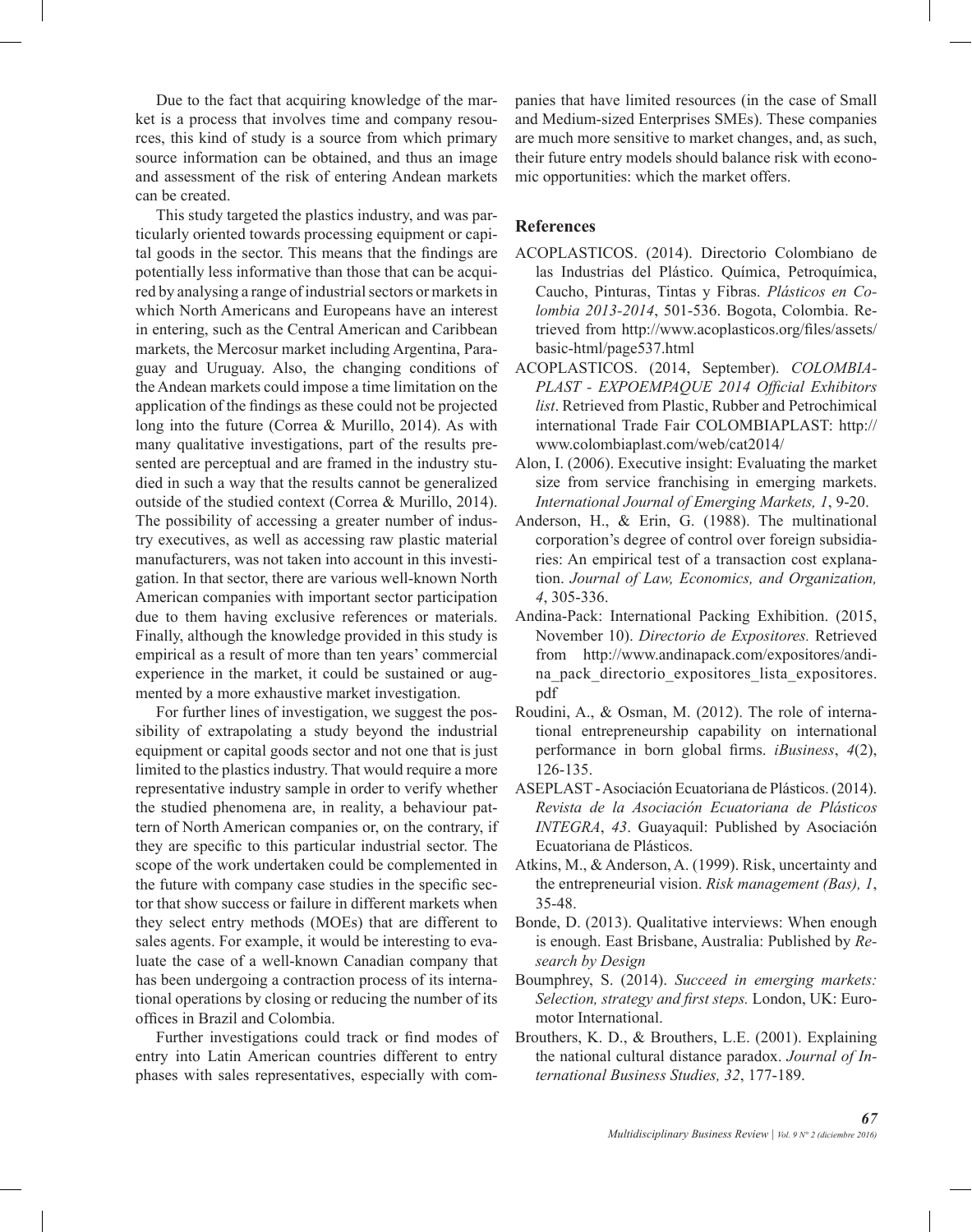Due to the fact that acquiring knowledge of the market is a process that involves time and company resources, this kind of study is a source from which primary source information can be obtained, and thus an image and assessment of the risk of entering Andean markets can be created.

This study targeted the plastics industry, and was particularly oriented towards processing equipment or capital goods in the sector. This means that the findings are potentially less informative than those that can be acquired by analysing a range of industrial sectors or markets in which North Americans and Europeans have an interest in entering, such as the Central American and Caribbean markets, the Mercosur market including Argentina, Paraguay and Uruguay. Also, the changing conditions of the Andean markets could impose a time limitation on the application of the findings as these could not be projected long into the future (Correa & Murillo, 2014). As with many qualitative investigations, part of the results presented are perceptual and are framed in the industry studied in such a way that the results cannot be generalized outside of the studied context (Correa & Murillo, 2014). The possibility of accessing a greater number of industry executives, as well as accessing raw plastic material manufacturers, was not taken into account in this investigation. In that sector, there are various well-known North American companies with important sector participation due to them having exclusive references or materials. Finally, although the knowledge provided in this study is empirical as a result of more than ten years' commercial experience in the market, it could be sustained or augmented by a more exhaustive market investigation.

For further lines of investigation, we suggest the possibility of extrapolating a study beyond the industrial equipment or capital goods sector and not one that is just limited to the plastics industry. That would require a more representative industry sample in order to verify whether the studied phenomena are, in reality, a behaviour pattern of North American companies or, on the contrary, if they are specific to this particular industrial sector. The scope of the work undertaken could be complemented in the future with company case studies in the specific sector that show success or failure in different markets when they select entry methods (MOEs) that are different to sales agents. For example, it would be interesting to evaluate the case of a well-known Canadian company that has been undergoing a contraction process of its international operations by closing or reducing the number of its offices in Brazil and Colombia.

Further investigations could track or find modes of entry into Latin American countries different to entry phases with sales representatives, especially with companies that have limited resources (in the case of Small and Medium-sized Enterprises SMEs). These companies are much more sensitive to market changes, and, as such, their future entry models should balance risk with economic opportunities: which the market offers.

### **References**

- ACOPLASTICOS. (2014). Directorio Colombiano de las Industrias del Plástico. Química, Petroquímica, Caucho, Pinturas, Tintas y Fibras. *Plásticos en Colombia 2013-2014*, 501-536. Bogota, Colombia. Retrieved from http://www.acoplasticos.org/files/assets/ basic-html/page537.html
- ACOPLASTICOS. (2014, September). *COLOMBIA-PLAST - EXPOEMPAQUE 2014 Official Exhibitors list*. Retrieved from Plastic, Rubber and Petrochimical international Trade Fair COLOMBIAPLAST: http:// www.colombiaplast.com/web/cat2014/
- Alon, I. (2006). Executive insight: Evaluating the market size from service franchising in emerging markets. *International Journal of Emerging Markets, 1*, 9-20.
- Anderson, H., & Erin, G. (1988). The multinational corporation's degree of control over foreign subsidiaries: An empirical test of a transaction cost explanation. *Journal of Law, Economics, and Organization, 4*, 305-336.
- Andina-Pack: International Packing Exhibition. (2015, November 10). *Directorio de Expositores.* Retrieved from http://www.andinapack.com/expositores/andina pack directorio expositores lista expositores. pdf
- Roudini, A., & Osman, M. (2012). The role of international entrepreneurship capability on international performance in born global firms. *iBusiness*, *4*(2), 126-135.
- ASEPLAST Asociación Ecuatoriana de Plásticos. (2014). *Revista de la Asociación Ecuatoriana de Plásticos INTEGRA*, *43*. Guayaquil: Published by Asociación Ecuatoriana de Plásticos.
- Atkins, M., & Anderson, A. (1999). Risk, uncertainty and the entrepreneurial vision. *Risk management (Bas), 1*, 35-48.
- Bonde, D. (2013). Qualitative interviews: When enough is enough. East Brisbane, Australia: Published by *Research by Design*
- Boumphrey, S. (2014). *Succeed in emerging markets: Selection, strategy and first steps.* London, UK: Euromotor International.
- Brouthers, K. D., & Brouthers, L.E. (2001). Explaining the national cultural distance paradox. *Journal of International Business Studies, 32*, 177-189.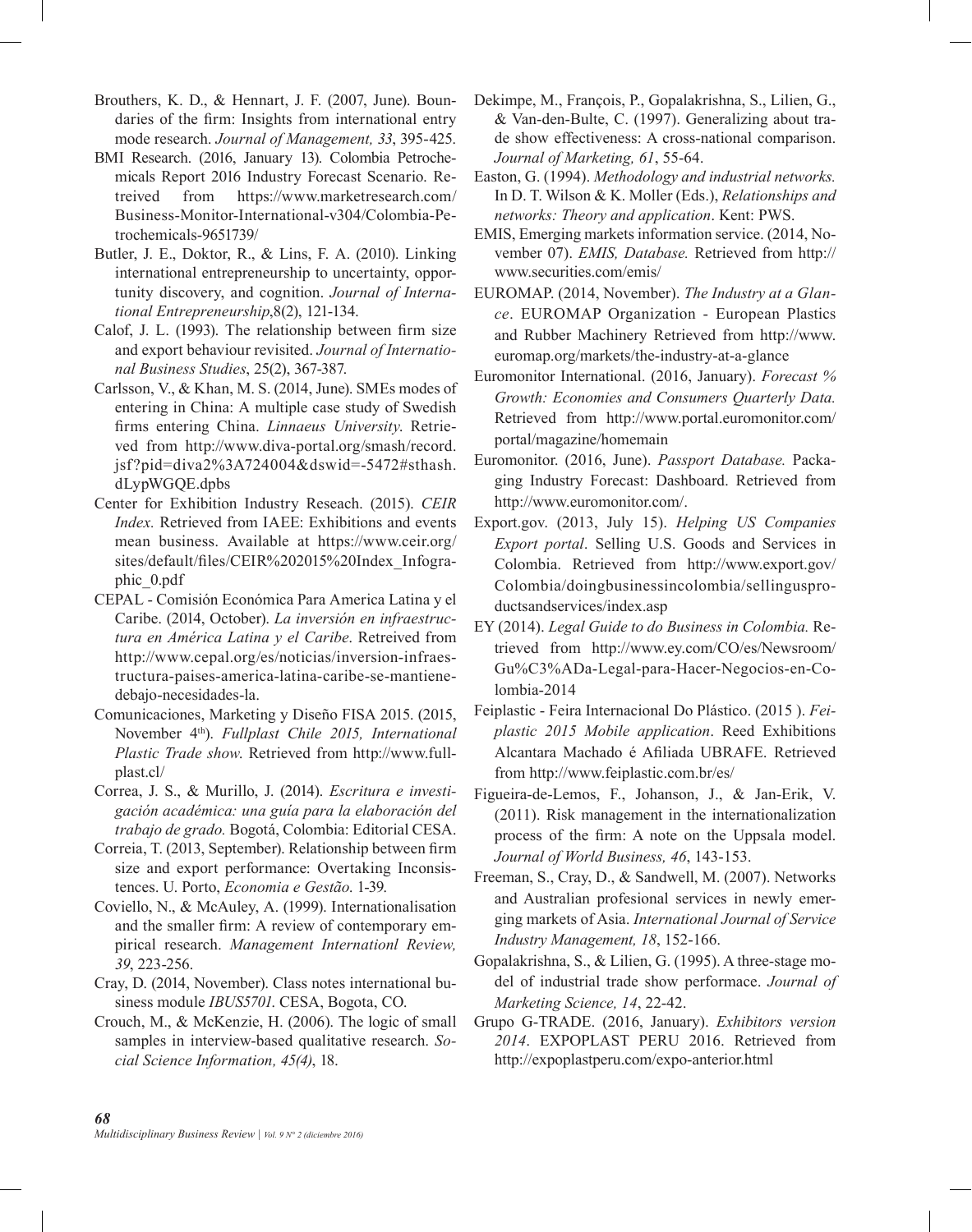- Brouthers, K. D., & Hennart, J. F. (2007, June). Boundaries of the firm: Insights from international entry mode research. *Journal of Management, 33*, 395-425.
- BMI Research. (2016, January 13). Colombia Petrochemicals Report 2016 Industry Forecast Scenario. Retreived from https://www.marketresearch.com/ Business-Monitor-International-v304/Colombia-Petrochemicals-9651739/
- Butler, J. E., Doktor, R., & Lins, F. A. (2010). Linking international entrepreneurship to uncertainty, opportunity discovery, and cognition. *Journal of International Entrepreneurship*,8(2), 121-134.
- Calof, J. L. (1993). The relationship between firm size and export behaviour revisited. *Journal of International Business Studies*, 25(2), 367-387.
- Carlsson, V., & Khan, M. S. (2014, June). SMEs modes of entering in China: A multiple case study of Swedish firms entering China. *Linnaeus University*. Retrieved from http://www.diva-portal.org/smash/record. jsf?pid=diva2%3A724004&dswid=-5472#sthash. dLypWGQE.dpbs
- Center for Exhibition Industry Reseach. (2015). *CEIR Index.* Retrieved from IAEE: Exhibitions and events mean business. Available at https://www.ceir.org/ sites/default/files/CEIR%202015%20Index\_Infographic\_0.pdf
- CEPAL Comisión Económica Para America Latina y el Caribe. (2014, October). *La inversión en infraestructura en América Latina y el Caribe*. Retreived from http://www.cepal.org/es/noticias/inversion-infraestructura-paises-america-latina-caribe-se-mantienedebajo-necesidades-la.
- Comunicaciones, Marketing y Diseño FISA 2015. (2015, November 4th). *Fullplast Chile 2015, International Plastic Trade show*. Retrieved from http://www.fullplast.cl/
- Correa, J. S., & Murillo, J. (2014). *Escritura e investigación académica: una guía para la elaboración del trabajo de grado.* Bogotá, Colombia: Editorial CESA.
- Correia, T. (2013, September). Relationship between firm size and export performance: Overtaking Inconsistences. U. Porto, *Economia e Gestão*. 1-39.
- Coviello, N., & McAuley, A. (1999). Internationalisation and the smaller firm: A review of contemporary empirical research. *Management Internationl Review, 39*, 223-256.
- Cray, D. (2014, November). Class notes international business module *IBUS5701*. CESA, Bogota, CO.
- Crouch, M., & McKenzie, H. (2006). The logic of small samples in interview-based qualitative research. *Social Science Information, 45(4)*, 18.
- Dekimpe, M., François, P., Gopalakrishna, S., Lilien, G., & Van-den-Bulte, C. (1997). Generalizing about trade show effectiveness: A cross-national comparison. *Journal of Marketing, 61*, 55-64.
- Easton, G. (1994). *Methodology and industrial networks.* In D. T. Wilson & K. Moller (Eds.), *Relationships and networks: Theory and application*. Kent: PWS.
- EMIS, Emerging markets information service. (2014, November 07). *EMIS, Database.* Retrieved from http:// www.securities.com/emis/
- EUROMAP. (2014, November). *The Industry at a Glance*. EUROMAP Organization - European Plastics and Rubber Machinery Retrieved from http://www. euromap.org/markets/the-industry-at-a-glance
- Euromonitor International. (2016, January). *Forecast % Growth: Economies and Consumers Quarterly Data.* Retrieved from http://www.portal.euromonitor.com/ portal/magazine/homemain
- Euromonitor. (2016, June). *Passport Database.* Packaging Industry Forecast: Dashboard. Retrieved from http://www.euromonitor.com/.
- Export.gov. (2013, July 15). *Helping US Companies Export portal*. Selling U.S. Goods and Services in Colombia. Retrieved from http://www.export.gov/ Colombia/doingbusinessincolombia/sellingusproductsandservices/index.asp
- EY (2014). *Legal Guide to do Business in Colombia.* Retrieved from http://www.ey.com/CO/es/Newsroom/ Gu%C3%ADa-Legal-para-Hacer-Negocios-en-Colombia-2014
- Feiplastic Feira Internacional Do Plástico. (2015 ). *Feiplastic 2015 Mobile application*. Reed Exhibitions Alcantara Machado é Afiliada UBRAFE. Retrieved from http://www.feiplastic.com.br/es/
- Figueira-de-Lemos, F., Johanson, J., & Jan-Erik, V. (2011). Risk management in the internationalization process of the firm: A note on the Uppsala model. *Journal of World Business, 46*, 143-153.
- Freeman, S., Cray, D., & Sandwell, M. (2007). Networks and Australian profesional services in newly emerging markets of Asia. *International Journal of Service Industry Management, 18*, 152-166.
- Gopalakrishna, S., & Lilien, G. (1995). A three-stage model of industrial trade show performace. *Journal of Marketing Science, 14*, 22-42.
- Grupo G-TRADE. (2016, January). *Exhibitors version 2014*. EXPOPLAST PERU 2016. Retrieved from http://expoplastperu.com/expo-anterior.html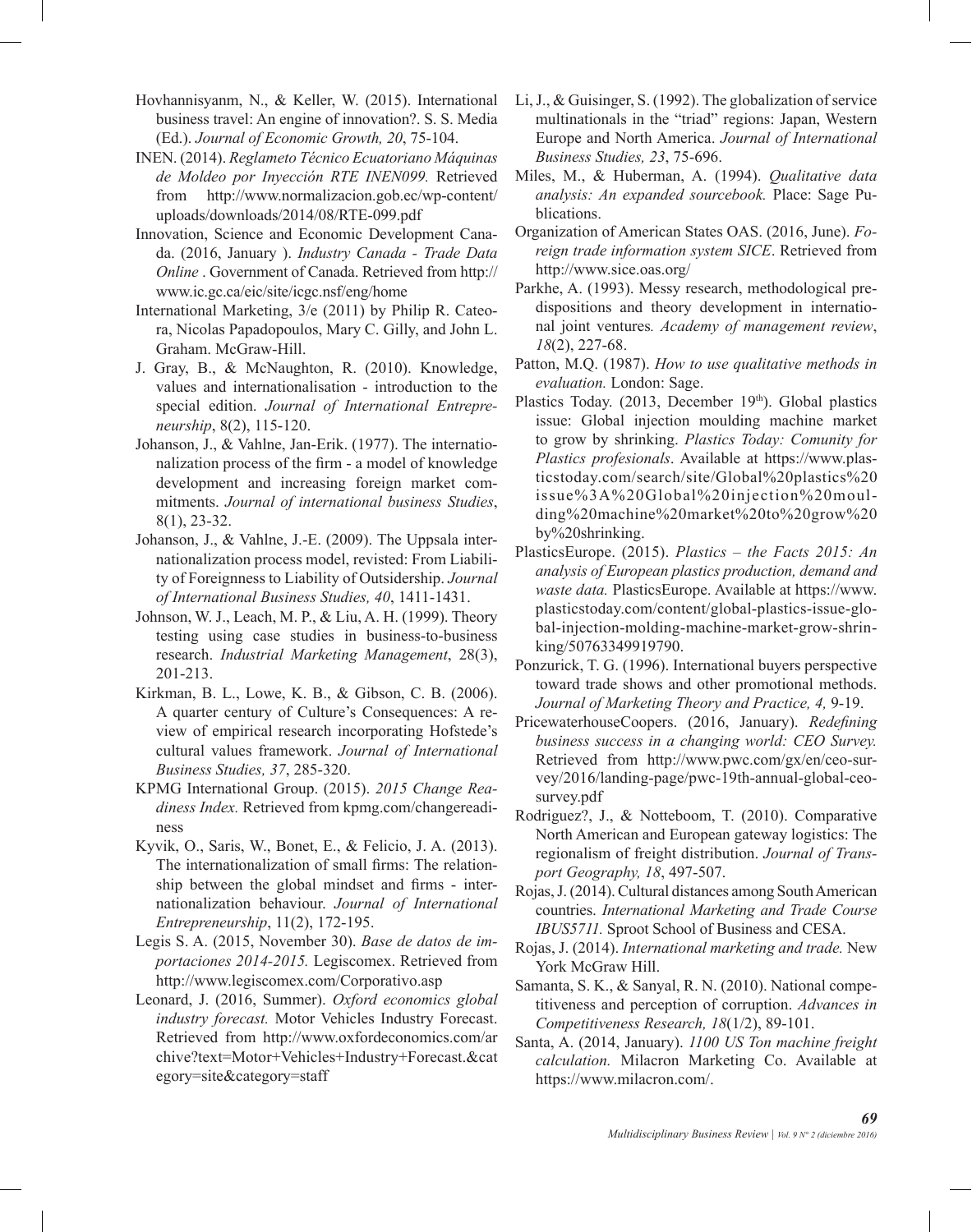Hovhannisyanm, N., & Keller, W. (2015). International business travel: An engine of innovation?. S. S. Media (Ed.). *Journal of Economic Growth, 20*, 75-104.

- INEN. (2014). *Reglameto Técnico Ecuatoriano Máquinas de Moldeo por Inyección RTE INEN099.* Retrieved from http://www.normalizacion.gob.ec/wp-content/ uploads/downloads/2014/08/RTE-099.pdf
- Innovation, Science and Economic Development Canada. (2016, January ). *Industry Canada - Trade Data Online* . Government of Canada. Retrieved from http:// www.ic.gc.ca/eic/site/icgc.nsf/eng/home
- International Marketing, 3/e (2011) by Philip R. Cateora, Nicolas Papadopoulos, Mary C. Gilly, and John L. Graham. McGraw-Hill.
- J. Gray, B., & McNaughton, R. (2010). Knowledge, values and internationalisation - introduction to the special edition. *Journal of International Entrepreneurship*, 8(2), 115-120.
- Johanson, J., & Vahlne, Jan-Erik. (1977). The internationalization process of the firm - a model of knowledge development and increasing foreign market commitments. *Journal of international business Studies*, 8(1), 23-32.
- Johanson, J., & Vahlne, J.-E. (2009). The Uppsala internationalization process model, revisted: From Liability of Foreignness to Liability of Outsidership. *Journal of International Business Studies, 40*, 1411-1431.
- Johnson, W. J., Leach, M. P., & Liu, A. H. (1999). Theory testing using case studies in business-to-business research. *Industrial Marketing Management*, 28(3), 201-213.
- Kirkman, B. L., Lowe, K. B., & Gibson, C. B. (2006). A quarter century of Culture's Consequences: A review of empirical research incorporating Hofstede's cultural values framework. *Journal of International Business Studies, 37*, 285-320.
- KPMG International Group. (2015). *2015 Change Readiness Index.* Retrieved from kpmg.com/changereadiness
- Kyvik, O., Saris, W., Bonet, E., & Felicio, J. A. (2013). The internationalization of small firms: The relationship between the global mindset and firms - internationalization behaviour. *Journal of International Entrepreneurship*, 11(2), 172-195.
- Legis S. A. (2015, November 30). *Base de datos de importaciones 2014-2015.* Legiscomex. Retrieved from http://www.legiscomex.com/Corporativo.asp
- Leonard, J. (2016, Summer). *Oxford economics global industry forecast.* Motor Vehicles Industry Forecast. Retrieved from http://www.oxfordeconomics.com/ar chive?text=Motor+Vehicles+Industry+Forecast.&cat egory=site&category=staff
- Li, J., & Guisinger, S. (1992). The globalization of service multinationals in the "triad" regions: Japan, Western Europe and North America. *Journal of International Business Studies, 23*, 75-696.
- Miles, M., & Huberman, A. (1994). *Qualitative data analysis: An expanded sourcebook.* Place: Sage Publications.
- Organization of American States OAS. (2016, June). *Foreign trade information system SICE*. Retrieved from http://www.sice.oas.org/
- Parkhe, A. (1993). Messy research, methodological predispositions and theory development in international joint ventures*. Academy of management review*, *18*(2), 227-68.
- Patton, M.Q. (1987). *How to use qualitative methods in evaluation.* London: Sage.
- Plastics Today. (2013, December 19th). Global plastics issue: Global injection moulding machine market to grow by shrinking. *Plastics Today: Comunity for Plastics profesionals*. Available at https://www.plasticstoday.com/search/site/Global%20plastics%20 issue%3A%20Global%20injection%20moulding%20machine%20market%20to%20grow%20 by%20shrinking.
- PlasticsEurope. (2015). *Plastics the Facts 2015: An analysis of European plastics production, demand and waste data.* PlasticsEurope. Available at https://www. plasticstoday.com/content/global-plastics-issue-global-injection-molding-machine-market-grow-shrinking/50763349919790.
- Ponzurick, T. G. (1996). International buyers perspective toward trade shows and other promotional methods. *Journal of Marketing Theory and Practice, 4,* 9-19.
- PricewaterhouseCoopers. (2016, January). *Redefining business success in a changing world: CEO Survey.* Retrieved from http://www.pwc.com/gx/en/ceo-survey/2016/landing-page/pwc-19th-annual-global-ceosurvey.pdf
- Rodriguez?, J., & Notteboom, T. (2010). Comparative North American and European gateway logistics: The regionalism of freight distribution. *Journal of Transport Geography, 18*, 497-507.
- Rojas, J. (2014). Cultural distances among South American countries. *International Marketing and Trade Course IBUS5711.* Sproot School of Business and CESA.
- Rojas, J. (2014). *International marketing and trade.* New York McGraw Hill.
- Samanta, S. K., & Sanyal, R. N. (2010). National competitiveness and perception of corruption. *Advances in Competitiveness Research, 18*(1/2), 89-101.
- Santa, A. (2014, January). *1100 US Ton machine freight calculation.* Milacron Marketing Co. Available at https://www.milacron.com/.